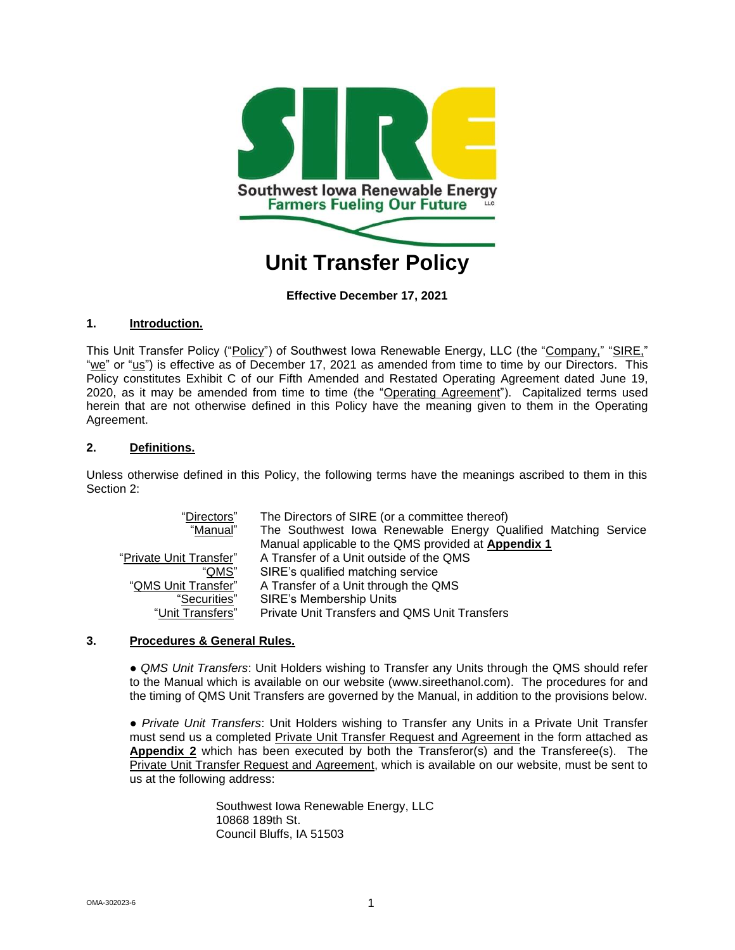

**Effective December 17, 2021**

## **1. Introduction.**

This Unit Transfer Policy ("Policy") of Southwest Iowa Renewable Energy, LLC (the "Company," "SIRE," "we" or " $us$ ") is effective as of December 17, 2021 as amended from time to time by our Directors. This Policy constitutes Exhibit C of our Fifth Amended and Restated Operating Agreement dated June 19, 2020, as it may be amended from time to time (the "Operating Agreement"). Capitalized terms used herein that are not otherwise defined in this Policy have the meaning given to them in the Operating Agreement.

## **2. Definitions.**

Unless otherwise defined in this Policy, the following terms have the meanings ascribed to them in this Section 2:

| "Directors"             | The Directors of SIRE (or a committee thereof)                 |
|-------------------------|----------------------------------------------------------------|
| "Manual"                | The Southwest Iowa Renewable Energy Qualified Matching Service |
|                         | Manual applicable to the QMS provided at Appendix 1            |
| "Private Unit Transfer" | A Transfer of a Unit outside of the QMS                        |
| "QMS"                   | SIRE's qualified matching service                              |
| "QMS Unit Transfer"     | A Transfer of a Unit through the QMS                           |
| "Securities"            | <b>SIRE's Membership Units</b>                                 |
| "Unit Transfers"        | <b>Private Unit Transfers and QMS Unit Transfers</b>           |

#### **3. Procedures & General Rules.**

● *QMS Unit Transfers*: Unit Holders wishing to Transfer any Units through the QMS should refer to the Manual which is available on our website [\(www.sireethanol.com\)](http://www.sireethanol.com/). The procedures for and the timing of QMS Unit Transfers are governed by the Manual, in addition to the provisions below.

● *Private Unit Transfers*: Unit Holders wishing to Transfer any Units in a Private Unit Transfer must send us a completed Private Unit Transfer Request and Agreement in the form attached as **Appendix 2** which has been executed by both the Transferor(s) and the Transferee(s). The Private Unit Transfer Request and Agreement, which is available on our website, must be sent to us at the following address:

> Southwest Iowa Renewable Energy, LLC 10868 189th St. Council Bluffs, IA 51503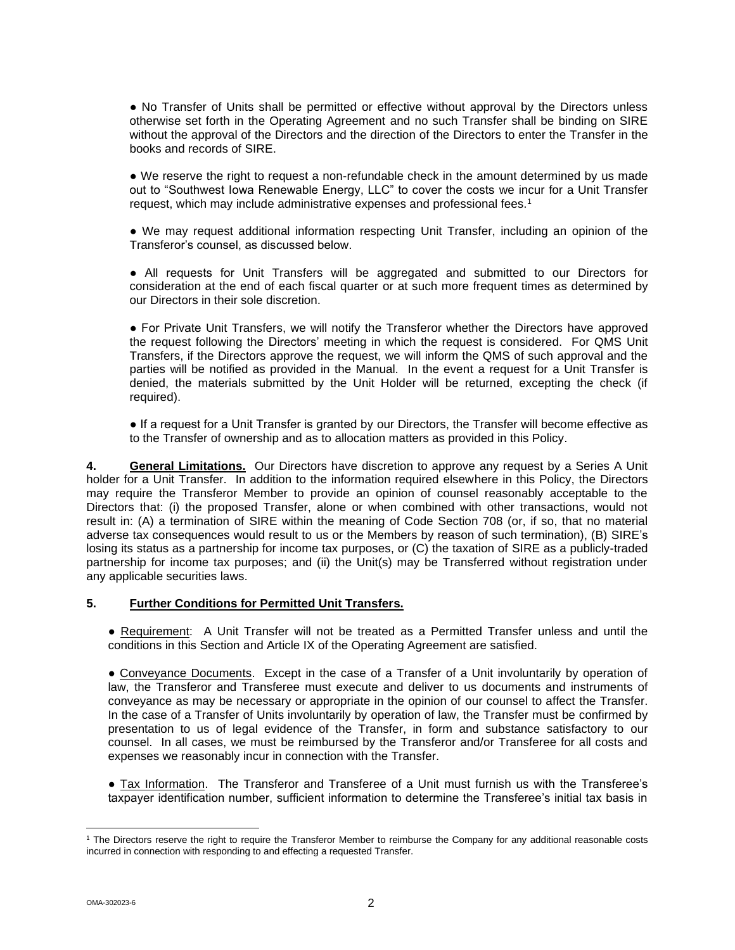● No Transfer of Units shall be permitted or effective without approval by the Directors unless otherwise set forth in the Operating Agreement and no such Transfer shall be binding on SIRE without the approval of the Directors and the direction of the Directors to enter the Transfer in the books and records of SIRE.

• We reserve the right to request a non-refundable check in the amount determined by us made out to "Southwest Iowa Renewable Energy, LLC" to cover the costs we incur for a Unit Transfer request, which may include administrative expenses and professional fees.<sup>1</sup>

● We may request additional information respecting Unit Transfer, including an opinion of the Transferor's counsel, as discussed below.

● All requests for Unit Transfers will be aggregated and submitted to our Directors for consideration at the end of each fiscal quarter or at such more frequent times as determined by our Directors in their sole discretion.

● For Private Unit Transfers, we will notify the Transferor whether the Directors have approved the request following the Directors' meeting in which the request is considered. For QMS Unit Transfers, if the Directors approve the request, we will inform the QMS of such approval and the parties will be notified as provided in the Manual. In the event a request for a Unit Transfer is denied, the materials submitted by the Unit Holder will be returned, excepting the check (if required).

● If a request for a Unit Transfer is granted by our Directors, the Transfer will become effective as to the Transfer of ownership and as to allocation matters as provided in this Policy.

**4. General Limitations.** Our Directors have discretion to approve any request by a Series A Unit holder for a Unit Transfer. In addition to the information required elsewhere in this Policy, the Directors may require the Transferor Member to provide an opinion of counsel reasonably acceptable to the Directors that: (i) the proposed Transfer, alone or when combined with other transactions, would not result in: (A) a termination of SIRE within the meaning of Code Section 708 (or, if so, that no material adverse tax consequences would result to us or the Members by reason of such termination), (B) SIRE's losing its status as a partnership for income tax purposes, or (C) the taxation of SIRE as a publicly-traded partnership for income tax purposes; and (ii) the Unit(s) may be Transferred without registration under any applicable securities laws.

#### **5. Further Conditions for Permitted Unit Transfers.**

● Requirement: A Unit Transfer will not be treated as a Permitted Transfer unless and until the conditions in this Section and Article IX of the Operating Agreement are satisfied.

● Conveyance Documents. Except in the case of a Transfer of a Unit involuntarily by operation of law, the Transferor and Transferee must execute and deliver to us documents and instruments of conveyance as may be necessary or appropriate in the opinion of our counsel to affect the Transfer. In the case of a Transfer of Units involuntarily by operation of law, the Transfer must be confirmed by presentation to us of legal evidence of the Transfer, in form and substance satisfactory to our counsel. In all cases, we must be reimbursed by the Transferor and/or Transferee for all costs and expenses we reasonably incur in connection with the Transfer.

● Tax Information. The Transferor and Transferee of a Unit must furnish us with the Transferee's taxpayer identification number, sufficient information to determine the Transferee's initial tax basis in

<sup>1</sup> The Directors reserve the right to require the Transferor Member to reimburse the Company for any additional reasonable costs incurred in connection with responding to and effecting a requested Transfer.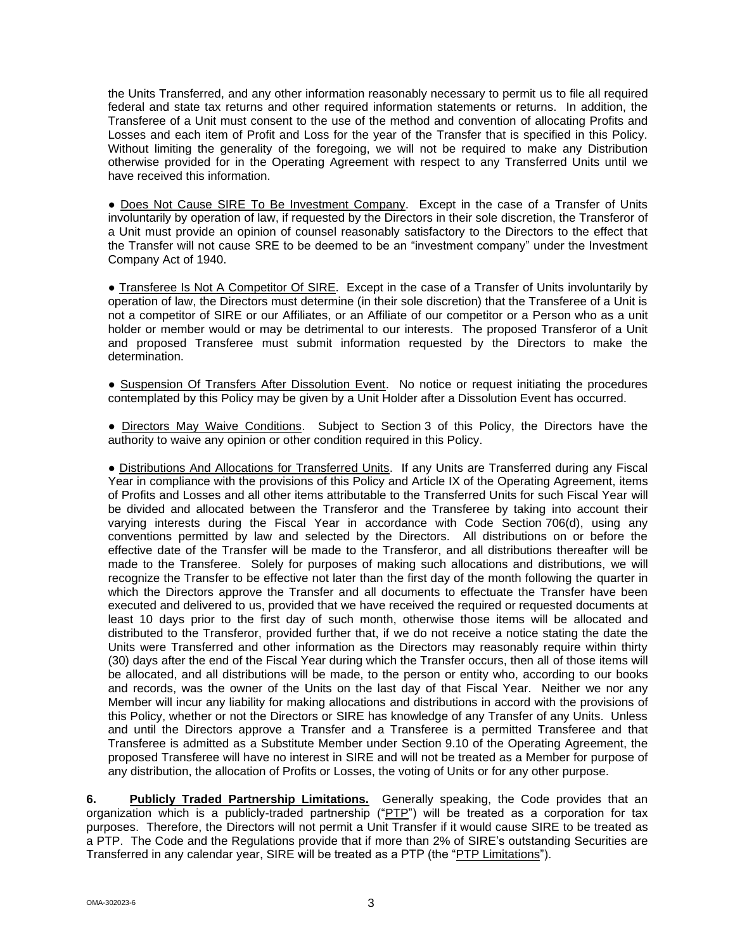the Units Transferred, and any other information reasonably necessary to permit us to file all required federal and state tax returns and other required information statements or returns. In addition, the Transferee of a Unit must consent to the use of the method and convention of allocating Profits and Losses and each item of Profit and Loss for the year of the Transfer that is specified in this Policy. Without limiting the generality of the foregoing, we will not be required to make any Distribution otherwise provided for in the Operating Agreement with respect to any Transferred Units until we have received this information.

● Does Not Cause SIRE To Be Investment Company. Except in the case of a Transfer of Units involuntarily by operation of law, if requested by the Directors in their sole discretion, the Transferor of a Unit must provide an opinion of counsel reasonably satisfactory to the Directors to the effect that the Transfer will not cause SRE to be deemed to be an "investment company" under the Investment Company Act of 1940.

● Transferee Is Not A Competitor Of SIRE. Except in the case of a Transfer of Units involuntarily by operation of law, the Directors must determine (in their sole discretion) that the Transferee of a Unit is not a competitor of SIRE or our Affiliates, or an Affiliate of our competitor or a Person who as a unit holder or member would or may be detrimental to our interests. The proposed Transferor of a Unit and proposed Transferee must submit information requested by the Directors to make the determination.

● Suspension Of Transfers After Dissolution Event. No notice or request initiating the procedures contemplated by this Policy may be given by a Unit Holder after a Dissolution Event has occurred.

● Directors May Waive Conditions. Subject to Section 3 of this Policy, the Directors have the authority to waive any opinion or other condition required in this Policy.

● Distributions And Allocations for Transferred Units. If any Units are Transferred during any Fiscal Year in compliance with the provisions of this Policy and Article IX of the Operating Agreement, items of Profits and Losses and all other items attributable to the Transferred Units for such Fiscal Year will be divided and allocated between the Transferor and the Transferee by taking into account their varying interests during the Fiscal Year in accordance with Code Section 706(d), using any conventions permitted by law and selected by the Directors. All distributions on or before the effective date of the Transfer will be made to the Transferor, and all distributions thereafter will be made to the Transferee. Solely for purposes of making such allocations and distributions, we will recognize the Transfer to be effective not later than the first day of the month following the quarter in which the Directors approve the Transfer and all documents to effectuate the Transfer have been executed and delivered to us, provided that we have received the required or requested documents at least 10 days prior to the first day of such month, otherwise those items will be allocated and distributed to the Transferor, provided further that, if we do not receive a notice stating the date the Units were Transferred and other information as the Directors may reasonably require within thirty (30) days after the end of the Fiscal Year during which the Transfer occurs, then all of those items will be allocated, and all distributions will be made, to the person or entity who, according to our books and records, was the owner of the Units on the last day of that Fiscal Year. Neither we nor any Member will incur any liability for making allocations and distributions in accord with the provisions of this Policy, whether or not the Directors or SIRE has knowledge of any Transfer of any Units. Unless and until the Directors approve a Transfer and a Transferee is a permitted Transferee and that Transferee is admitted as a Substitute Member under Section 9.10 of the Operating Agreement, the proposed Transferee will have no interest in SIRE and will not be treated as a Member for purpose of any distribution, the allocation of Profits or Losses, the voting of Units or for any other purpose.

**6. Publicly Traded Partnership Limitations.** Generally speaking, the Code provides that an organization which is a publicly-traded partnership ("PTP") will be treated as a corporation for tax purposes. Therefore, the Directors will not permit a Unit Transfer if it would cause SIRE to be treated as a PTP. The Code and the Regulations provide that if more than 2% of SIRE's outstanding Securities are Transferred in any calendar year, SIRE will be treated as a PTP (the "PTP Limitations").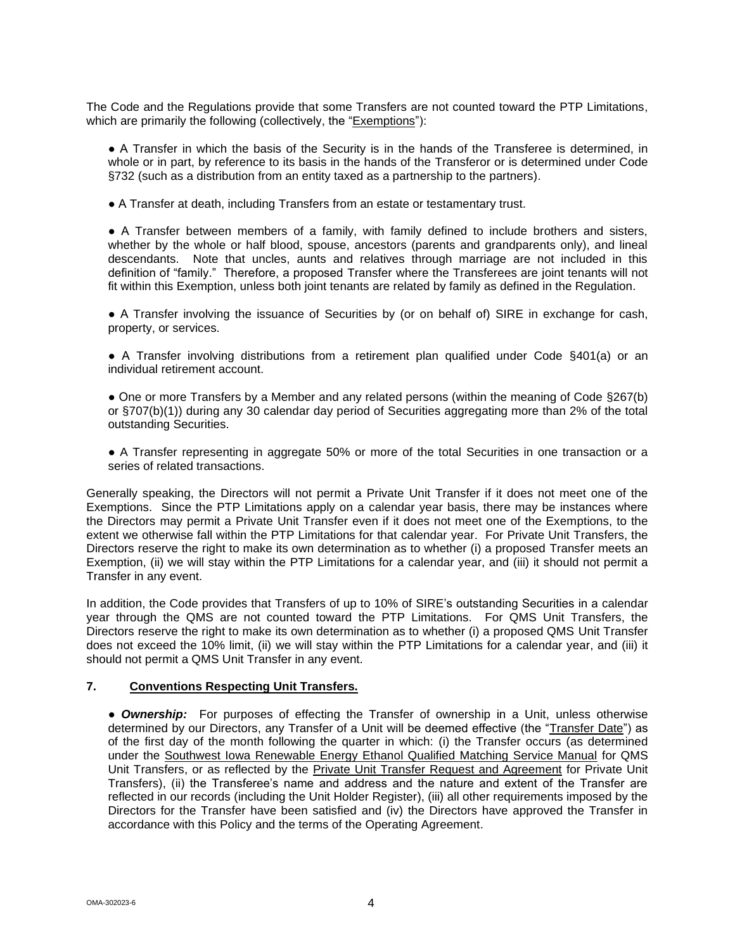The Code and the Regulations provide that some Transfers are not counted toward the PTP Limitations, which are primarily the following (collectively, the "Exemptions"):

● A Transfer in which the basis of the Security is in the hands of the Transferee is determined, in whole or in part, by reference to its basis in the hands of the Transferor or is determined under Code §732 (such as a distribution from an entity taxed as a partnership to the partners).

● A Transfer at death, including Transfers from an estate or testamentary trust.

● A Transfer between members of a family, with family defined to include brothers and sisters, whether by the whole or half blood, spouse, ancestors (parents and grandparents only), and lineal descendants. Note that uncles, aunts and relatives through marriage are not included in this definition of "family." Therefore, a proposed Transfer where the Transferees are joint tenants will not fit within this Exemption, unless both joint tenants are related by family as defined in the Regulation.

● A Transfer involving the issuance of Securities by (or on behalf of) SIRE in exchange for cash, property, or services.

● A Transfer involving distributions from a retirement plan qualified under Code §401(a) or an individual retirement account.

● One or more Transfers by a Member and any related persons (within the meaning of Code §267(b) or §707(b)(1)) during any 30 calendar day period of Securities aggregating more than 2% of the total outstanding Securities.

● A Transfer representing in aggregate 50% or more of the total Securities in one transaction or a series of related transactions.

Generally speaking, the Directors will not permit a Private Unit Transfer if it does not meet one of the Exemptions. Since the PTP Limitations apply on a calendar year basis, there may be instances where the Directors may permit a Private Unit Transfer even if it does not meet one of the Exemptions, to the extent we otherwise fall within the PTP Limitations for that calendar year. For Private Unit Transfers, the Directors reserve the right to make its own determination as to whether (i) a proposed Transfer meets an Exemption, (ii) we will stay within the PTP Limitations for a calendar year, and (iii) it should not permit a Transfer in any event.

In addition, the Code provides that Transfers of up to 10% of SIRE's outstanding Securities in a calendar year through the QMS are not counted toward the PTP Limitations. For QMS Unit Transfers, the Directors reserve the right to make its own determination as to whether (i) a proposed QMS Unit Transfer does not exceed the 10% limit, (ii) we will stay within the PTP Limitations for a calendar year, and (iii) it should not permit a QMS Unit Transfer in any event.

#### **7. Conventions Respecting Unit Transfers.**

● *Ownership:* For purposes of effecting the Transfer of ownership in a Unit, unless otherwise determined by our Directors, any Transfer of a Unit will be deemed effective (the "Transfer Date") as of the first day of the month following the quarter in which: (i) the Transfer occurs (as determined under the Southwest Iowa Renewable Energy Ethanol Qualified Matching Service Manual for QMS Unit Transfers, or as reflected by the Private Unit Transfer Request and Agreement for Private Unit Transfers), (ii) the Transferee's name and address and the nature and extent of the Transfer are reflected in our records (including the Unit Holder Register), (iii) all other requirements imposed by the Directors for the Transfer have been satisfied and (iv) the Directors have approved the Transfer in accordance with this Policy and the terms of the Operating Agreement.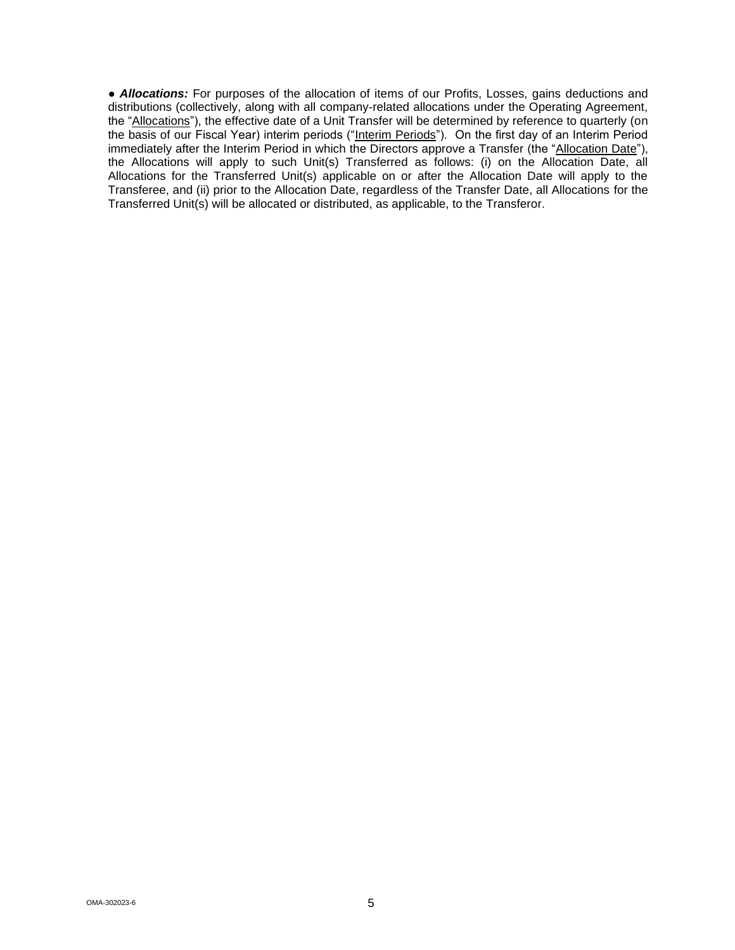• **Allocations:** For purposes of the allocation of items of our Profits, Losses, gains deductions and distributions (collectively, along with all company-related allocations under the Operating Agreement, the "Allocations"), the effective date of a Unit Transfer will be determined by reference to quarterly (on the basis of our Fiscal Year) interim periods ("Interim Periods"). On the first day of an Interim Period immediately after the Interim Period in which the Directors approve a Transfer (the "Allocation Date"), the Allocations will apply to such Unit(s) Transferred as follows: (i) on the Allocation Date, all Allocations for the Transferred Unit(s) applicable on or after the Allocation Date will apply to the Transferee, and (ii) prior to the Allocation Date, regardless of the Transfer Date, all Allocations for the Transferred Unit(s) will be allocated or distributed, as applicable, to the Transferor.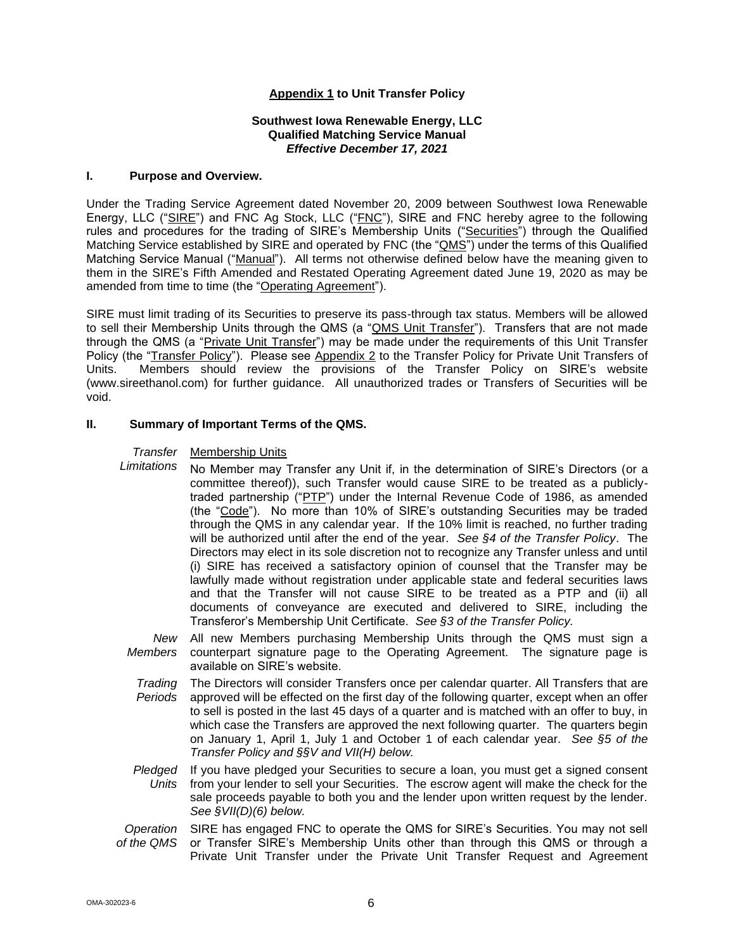## **Appendix 1 to Unit Transfer Policy**

#### **Southwest Iowa Renewable Energy, LLC Qualified Matching Service Manual** *Effective December 17, 2021*

#### **I. Purpose and Overview.**

Under the Trading Service Agreement dated November 20, 2009 between Southwest Iowa Renewable Energy, LLC ("SIRE") and FNC Ag Stock, LLC ("FNC"), SIRE and FNC hereby agree to the following rules and procedures for the trading of SIRE's Membership Units ("Securities") through the Qualified Matching Service established by SIRE and operated by FNC (the "QMS") under the terms of this Qualified Matching Service Manual ("Manual"). All terms not otherwise defined below have the meaning given to them in the SIRE's Fifth Amended and Restated Operating Agreement dated June 19, 2020 as may be amended from time to time (the "Operating Agreement").

SIRE must limit trading of its Securities to preserve its pass-through tax status. Members will be allowed to sell their Membership Units through the QMS (a "QMS Unit Transfer"). Transfers that are not made through the QMS (a "Private Unit Transfer") may be made under the requirements of this Unit Transfer Policy (the "Transfer Policy"). Please see Appendix 2 to the Transfer Policy for Private Unit Transfers of Units. Members should review the provisions of the Transfer Policy on SIRE's website (www.sireethanol.com) for further guidance. All unauthorized trades or Transfers of Securities will be void.

#### **II. Summary of Important Terms of the QMS.**

#### *Transfer*  Membership Units

- *Limitations* No Member may Transfer any Unit if, in the determination of SIRE's Directors (or a committee thereof)), such Transfer would cause SIRE to be treated as a publiclytraded partnership ("PTP") under the Internal Revenue Code of 1986, as amended (the "Code"). No more than 10% of SIRE's outstanding Securities may be traded through the QMS in any calendar year. If the 10% limit is reached, no further trading will be authorized until after the end of the year. *See §4 of the Transfer Policy*. The Directors may elect in its sole discretion not to recognize any Transfer unless and until (i) SIRE has received a satisfactory opinion of counsel that the Transfer may be lawfully made without registration under applicable state and federal securities laws and that the Transfer will not cause SIRE to be treated as a PTP and (ii) all documents of conveyance are executed and delivered to SIRE, including the Transferor's Membership Unit Certificate. *See §3 of the Transfer Policy.*
- *New*  All new Members purchasing Membership Units through the QMS must sign a *Members* counterpart signature page to the Operating Agreement. The signature page is available on SIRE's website.
	- *Trading Periods* The Directors will consider Transfers once per calendar quarter. All Transfers that are approved will be effected on the first day of the following quarter, except when an offer to sell is posted in the last 45 days of a quarter and is matched with an offer to buy, in which case the Transfers are approved the next following quarter. The quarters begin on January 1, April 1, July 1 and October 1 of each calendar year. *See §5 of the Transfer Policy and §§V and VII(H) below.*
- *Pledged*  If you have pledged your Securities to secure a loan, you must get a signed consent *Units* from your lender to sell your Securities. The escrow agent will make the check for the sale proceeds payable to both you and the lender upon written request by the lender. *See §VII(D)(6) below.*
- *Operation of the QMS* SIRE has engaged FNC to operate the QMS for SIRE's Securities. You may not sell or Transfer SIRE's Membership Units other than through this QMS or through a Private Unit Transfer under the Private Unit Transfer Request and Agreement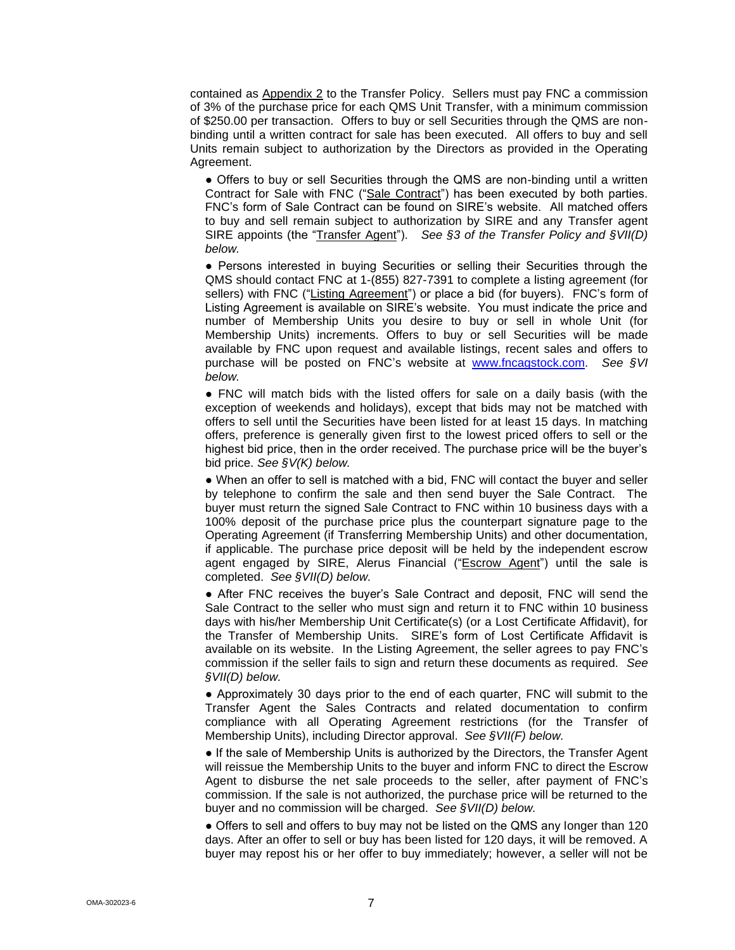contained as Appendix 2 to the Transfer Policy. Sellers must pay FNC a commission of 3% of the purchase price for each QMS Unit Transfer, with a minimum commission of \$250.00 per transaction. Offers to buy or sell Securities through the QMS are nonbinding until a written contract for sale has been executed. All offers to buy and sell Units remain subject to authorization by the Directors as provided in the Operating Agreement.

● Offers to buy or sell Securities through the QMS are non-binding until a written Contract for Sale with FNC ("Sale Contract") has been executed by both parties. FNC's form of Sale Contract can be found on SIRE's website. All matched offers to buy and sell remain subject to authorization by SIRE and any Transfer agent SIRE appoints (the "Transfer Agent"). *See §3 of the Transfer Policy and §VII(D) below.*

● Persons interested in buying Securities or selling their Securities through the QMS should contact FNC at 1-(855) 827-7391 to complete a listing agreement (for sellers) with FNC ("Listing Agreement") or place a bid (for buyers). FNC's form of Listing Agreement is available on SIRE's website. You must indicate the price and number of Membership Units you desire to buy or sell in whole Unit (for Membership Units) increments. Offers to buy or sell Securities will be made available by FNC upon request and available listings, recent sales and offers to purchase will be posted on FNC's website at [www.fncagstock.com.](http://www.fncagstock.com/) *See §VI below.*

● FNC will match bids with the listed offers for sale on a daily basis (with the exception of weekends and holidays), except that bids may not be matched with offers to sell until the Securities have been listed for at least 15 days. In matching offers, preference is generally given first to the lowest priced offers to sell or the highest bid price, then in the order received. The purchase price will be the buyer's bid price. *See §V(K) below.*

• When an offer to sell is matched with a bid, FNC will contact the buyer and seller by telephone to confirm the sale and then send buyer the Sale Contract. The buyer must return the signed Sale Contract to FNC within 10 business days with a 100% deposit of the purchase price plus the counterpart signature page to the Operating Agreement (if Transferring Membership Units) and other documentation, if applicable. The purchase price deposit will be held by the independent escrow agent engaged by SIRE, Alerus Financial ("Escrow Agent") until the sale is completed. *See §VII(D) below.*

● After FNC receives the buyer's Sale Contract and deposit, FNC will send the Sale Contract to the seller who must sign and return it to FNC within 10 business days with his/her Membership Unit Certificate(s) (or a Lost Certificate Affidavit), for the Transfer of Membership Units. SIRE's form of Lost Certificate Affidavit is available on its website. In the Listing Agreement, the seller agrees to pay FNC's commission if the seller fails to sign and return these documents as required. *See §VII(D) below.*

● Approximately 30 days prior to the end of each quarter, FNC will submit to the Transfer Agent the Sales Contracts and related documentation to confirm compliance with all Operating Agreement restrictions (for the Transfer of Membership Units), including Director approval. *See §VII(F) below.*

• If the sale of Membership Units is authorized by the Directors, the Transfer Agent will reissue the Membership Units to the buyer and inform FNC to direct the Escrow Agent to disburse the net sale proceeds to the seller, after payment of FNC's commission. If the sale is not authorized, the purchase price will be returned to the buyer and no commission will be charged. *See §VII(D) below.*

• Offers to sell and offers to buy may not be listed on the QMS any longer than 120 days. After an offer to sell or buy has been listed for 120 days, it will be removed. A buyer may repost his or her offer to buy immediately; however, a seller will not be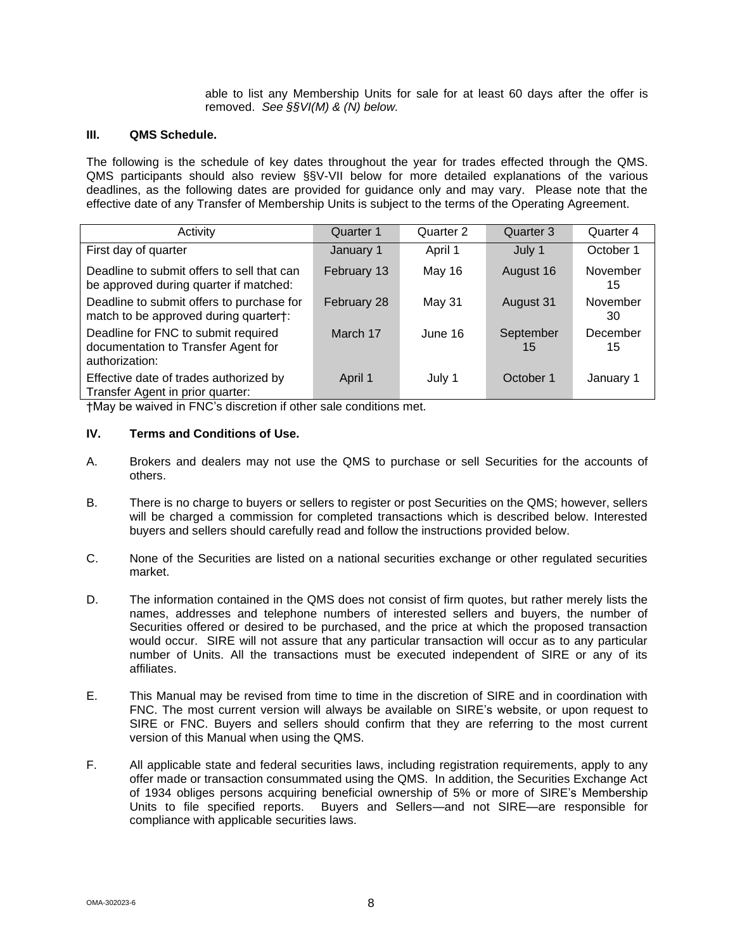able to list any Membership Units for sale for at least 60 days after the offer is removed. *See §§VI(M) & (N) below.*

#### **III. QMS Schedule.**

The following is the schedule of key dates throughout the year for trades effected through the QMS. QMS participants should also review §§V-VII below for more detailed explanations of the various deadlines, as the following dates are provided for guidance only and may vary. Please note that the effective date of any Transfer of Membership Units is subject to the terms of the Operating Agreement.

| Activity                                                                                     | Quarter 1   | Quarter 2 | Quarter 3       | Quarter 4      |
|----------------------------------------------------------------------------------------------|-------------|-----------|-----------------|----------------|
| First day of quarter                                                                         | January 1   | April 1   | July 1          | October 1      |
| Deadline to submit offers to sell that can<br>be approved during quarter if matched:         | February 13 | May 16    | August 16       | November<br>15 |
| Deadline to submit offers to purchase for<br>match to be approved during quarter†:           | February 28 | May 31    | August 31       | November<br>30 |
| Deadline for FNC to submit required<br>documentation to Transfer Agent for<br>authorization: | March 17    | June 16   | September<br>15 | December<br>15 |
| Effective date of trades authorized by<br>Transfer Agent in prior quarter:                   | April 1     | July 1    | October 1       | January 1      |

†May be waived in FNC's discretion if other sale conditions met.

#### **IV. Terms and Conditions of Use.**

- A. Brokers and dealers may not use the QMS to purchase or sell Securities for the accounts of others.
- B. There is no charge to buyers or sellers to register or post Securities on the QMS; however, sellers will be charged a commission for completed transactions which is described below. Interested buyers and sellers should carefully read and follow the instructions provided below.
- C. None of the Securities are listed on a national securities exchange or other regulated securities market.
- D. The information contained in the QMS does not consist of firm quotes, but rather merely lists the names, addresses and telephone numbers of interested sellers and buyers, the number of Securities offered or desired to be purchased, and the price at which the proposed transaction would occur. SIRE will not assure that any particular transaction will occur as to any particular number of Units. All the transactions must be executed independent of SIRE or any of its affiliates.
- E. This Manual may be revised from time to time in the discretion of SIRE and in coordination with FNC. The most current version will always be available on SIRE's website, or upon request to SIRE or FNC. Buyers and sellers should confirm that they are referring to the most current version of this Manual when using the QMS.
- F. All applicable state and federal securities laws, including registration requirements, apply to any offer made or transaction consummated using the QMS. In addition, the Securities Exchange Act of 1934 obliges persons acquiring beneficial ownership of 5% or more of SIRE's Membership Units to file specified reports. Buyers and Sellers—and not SIRE—are responsible for compliance with applicable securities laws.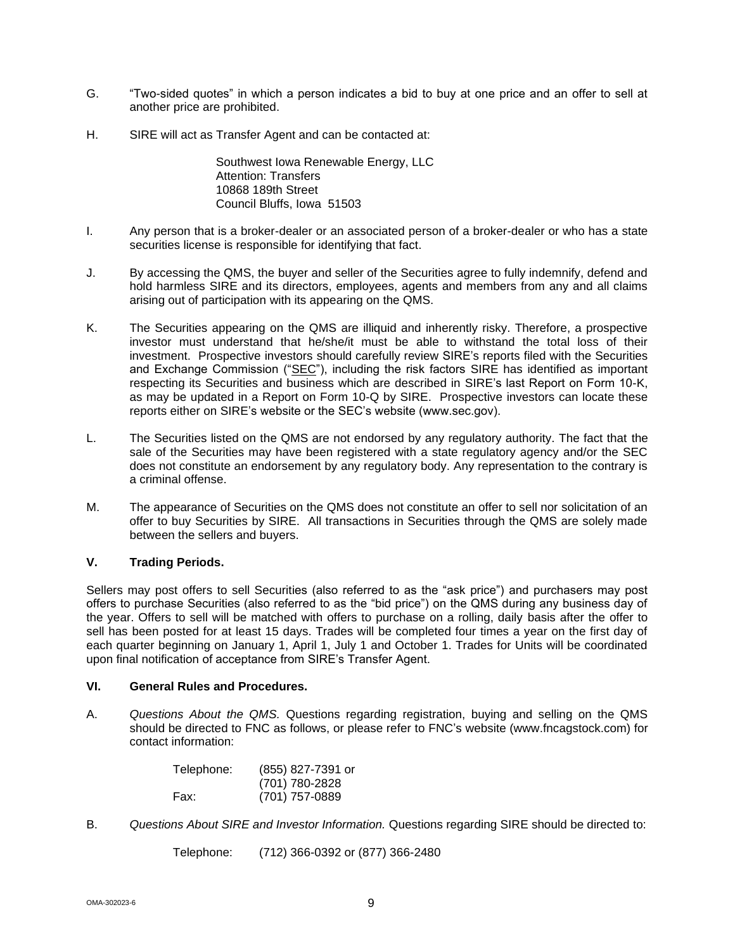- G. "Two-sided quotes" in which a person indicates a bid to buy at one price and an offer to sell at another price are prohibited.
- H. SIRE will act as Transfer Agent and can be contacted at:

Southwest Iowa Renewable Energy, LLC Attention: Transfers 10868 189th Street Council Bluffs, Iowa 51503

- I. Any person that is a broker-dealer or an associated person of a broker-dealer or who has a state securities license is responsible for identifying that fact.
- J. By accessing the QMS, the buyer and seller of the Securities agree to fully indemnify, defend and hold harmless SIRE and its directors, employees, agents and members from any and all claims arising out of participation with its appearing on the QMS.
- K. The Securities appearing on the QMS are illiquid and inherently risky. Therefore, a prospective investor must understand that he/she/it must be able to withstand the total loss of their investment. Prospective investors should carefully review SIRE's reports filed with the Securities and Exchange Commission ("SEC"), including the risk factors SIRE has identified as important respecting its Securities and business which are described in SIRE's last Report on Form 10-K, as may be updated in a Report on Form 10-Q by SIRE. Prospective investors can locate these reports either on SIRE's website or the SEC's website (www.sec.gov).
- L. The Securities listed on the QMS are not endorsed by any regulatory authority. The fact that the sale of the Securities may have been registered with a state regulatory agency and/or the SEC does not constitute an endorsement by any regulatory body. Any representation to the contrary is a criminal offense.
- M. The appearance of Securities on the QMS does not constitute an offer to sell nor solicitation of an offer to buy Securities by SIRE. All transactions in Securities through the QMS are solely made between the sellers and buyers.

## **V. Trading Periods.**

Sellers may post offers to sell Securities (also referred to as the "ask price") and purchasers may post offers to purchase Securities (also referred to as the "bid price") on the QMS during any business day of the year. Offers to sell will be matched with offers to purchase on a rolling, daily basis after the offer to sell has been posted for at least 15 days. Trades will be completed four times a year on the first day of each quarter beginning on January 1, April 1, July 1 and October 1. Trades for Units will be coordinated upon final notification of acceptance from SIRE's Transfer Agent.

#### **VI. General Rules and Procedures.**

A. *Questions About the QMS.* Questions regarding registration, buying and selling on the QMS should be directed to FNC as follows, or please refer to FNC's website (www.fncagstock.com) for contact information:

| Telephone: | (855) 827-7391 or |
|------------|-------------------|
|            | (701) 780-2828    |
| Fax:       | (701) 757-0889    |

B. *Questions About SIRE and Investor Information.* Questions regarding SIRE should be directed to:

Telephone: (712) 366-0392 or (877) 366-2480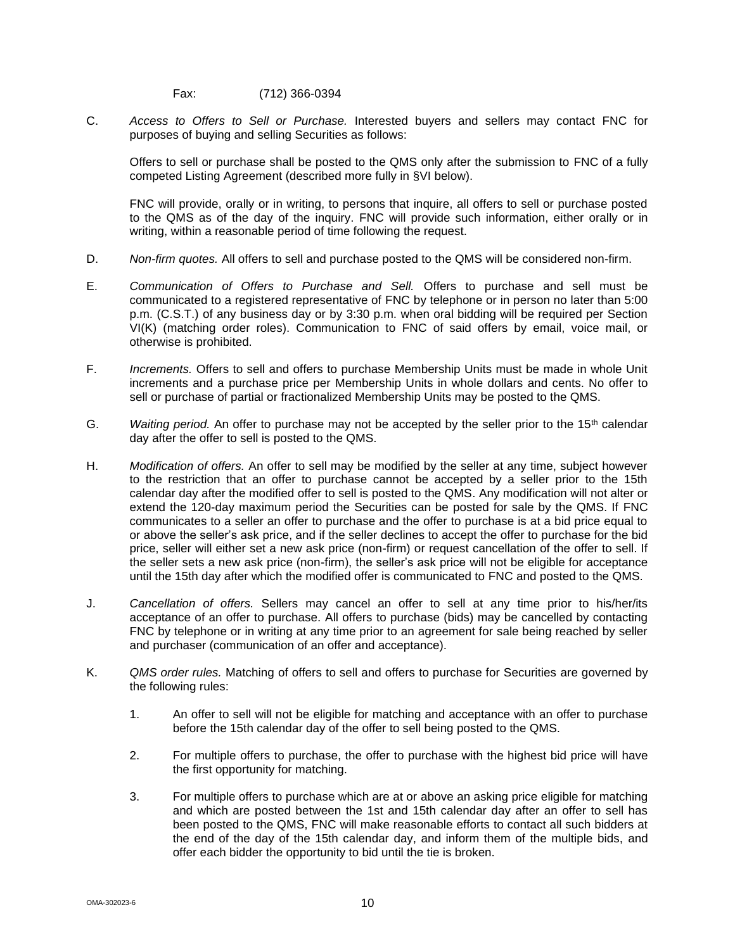Fax: (712) 366-0394

C. *Access to Offers to Sell or Purchase.* Interested buyers and sellers may contact FNC for purposes of buying and selling Securities as follows:

Offers to sell or purchase shall be posted to the QMS only after the submission to FNC of a fully competed Listing Agreement (described more fully in §VI below).

FNC will provide, orally or in writing, to persons that inquire, all offers to sell or purchase posted to the QMS as of the day of the inquiry. FNC will provide such information, either orally or in writing, within a reasonable period of time following the request.

- D. *Non-firm quotes.* All offers to sell and purchase posted to the QMS will be considered non-firm.
- E. *Communication of Offers to Purchase and Sell.* Offers to purchase and sell must be communicated to a registered representative of FNC by telephone or in person no later than 5:00 p.m. (C.S.T.) of any business day or by 3:30 p.m. when oral bidding will be required per Section VI(K) (matching order roles). Communication to FNC of said offers by email, voice mail, or otherwise is prohibited.
- F. *Increments.* Offers to sell and offers to purchase Membership Units must be made in whole Unit increments and a purchase price per Membership Units in whole dollars and cents. No offer to sell or purchase of partial or fractionalized Membership Units may be posted to the QMS.
- G. *Waiting period.* An offer to purchase may not be accepted by the seller prior to the 15th calendar day after the offer to sell is posted to the QMS.
- H. *Modification of offers.* An offer to sell may be modified by the seller at any time, subject however to the restriction that an offer to purchase cannot be accepted by a seller prior to the 15th calendar day after the modified offer to sell is posted to the QMS. Any modification will not alter or extend the 120-day maximum period the Securities can be posted for sale by the QMS. If FNC communicates to a seller an offer to purchase and the offer to purchase is at a bid price equal to or above the seller's ask price, and if the seller declines to accept the offer to purchase for the bid price, seller will either set a new ask price (non-firm) or request cancellation of the offer to sell. If the seller sets a new ask price (non-firm), the seller's ask price will not be eligible for acceptance until the 15th day after which the modified offer is communicated to FNC and posted to the QMS.
- J. *Cancellation of offers.* Sellers may cancel an offer to sell at any time prior to his/her/its acceptance of an offer to purchase. All offers to purchase (bids) may be cancelled by contacting FNC by telephone or in writing at any time prior to an agreement for sale being reached by seller and purchaser (communication of an offer and acceptance).
- K. *QMS order rules.* Matching of offers to sell and offers to purchase for Securities are governed by the following rules:
	- 1. An offer to sell will not be eligible for matching and acceptance with an offer to purchase before the 15th calendar day of the offer to sell being posted to the QMS.
	- 2. For multiple offers to purchase, the offer to purchase with the highest bid price will have the first opportunity for matching.
	- 3. For multiple offers to purchase which are at or above an asking price eligible for matching and which are posted between the 1st and 15th calendar day after an offer to sell has been posted to the QMS, FNC will make reasonable efforts to contact all such bidders at the end of the day of the 15th calendar day, and inform them of the multiple bids, and offer each bidder the opportunity to bid until the tie is broken.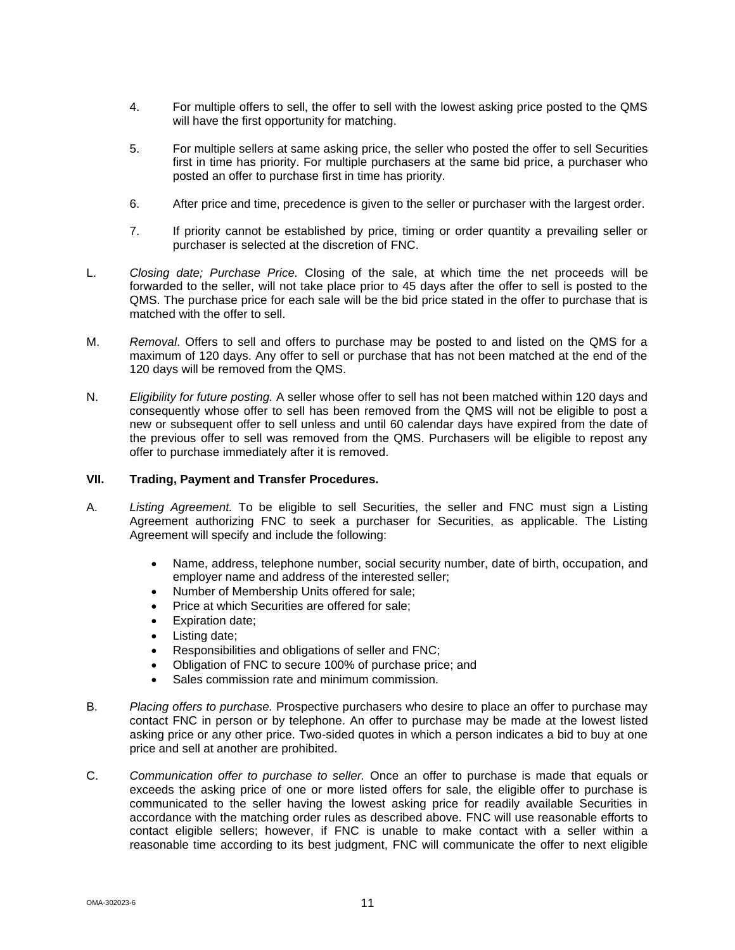- 4. For multiple offers to sell, the offer to sell with the lowest asking price posted to the QMS will have the first opportunity for matching.
- 5. For multiple sellers at same asking price, the seller who posted the offer to sell Securities first in time has priority. For multiple purchasers at the same bid price, a purchaser who posted an offer to purchase first in time has priority.
- 6. After price and time, precedence is given to the seller or purchaser with the largest order.
- 7. If priority cannot be established by price, timing or order quantity a prevailing seller or purchaser is selected at the discretion of FNC.
- L. *Closing date; Purchase Price.* Closing of the sale, at which time the net proceeds will be forwarded to the seller, will not take place prior to 45 days after the offer to sell is posted to the QMS. The purchase price for each sale will be the bid price stated in the offer to purchase that is matched with the offer to sell.
- M. *Removal*. Offers to sell and offers to purchase may be posted to and listed on the QMS for a maximum of 120 days. Any offer to sell or purchase that has not been matched at the end of the 120 days will be removed from the QMS.
- N. *Eligibility for future posting.* A seller whose offer to sell has not been matched within 120 days and consequently whose offer to sell has been removed from the QMS will not be eligible to post a new or subsequent offer to sell unless and until 60 calendar days have expired from the date of the previous offer to sell was removed from the QMS. Purchasers will be eligible to repost any offer to purchase immediately after it is removed.

#### **VII. Trading, Payment and Transfer Procedures.**

- A. *Listing Agreement.* To be eligible to sell Securities, the seller and FNC must sign a Listing Agreement authorizing FNC to seek a purchaser for Securities, as applicable. The Listing Agreement will specify and include the following:
	- Name, address, telephone number, social security number, date of birth, occupation, and employer name and address of the interested seller;
	- Number of Membership Units offered for sale;
	- Price at which Securities are offered for sale;
	- Expiration date;
	- Listing date;
	- Responsibilities and obligations of seller and FNC;
	- Obligation of FNC to secure 100% of purchase price; and
	- Sales commission rate and minimum commission.
- B. *Placing offers to purchase.* Prospective purchasers who desire to place an offer to purchase may contact FNC in person or by telephone. An offer to purchase may be made at the lowest listed asking price or any other price. Two-sided quotes in which a person indicates a bid to buy at one price and sell at another are prohibited.
- C. *Communication offer to purchase to seller.* Once an offer to purchase is made that equals or exceeds the asking price of one or more listed offers for sale, the eligible offer to purchase is communicated to the seller having the lowest asking price for readily available Securities in accordance with the matching order rules as described above. FNC will use reasonable efforts to contact eligible sellers; however, if FNC is unable to make contact with a seller within a reasonable time according to its best judgment, FNC will communicate the offer to next eligible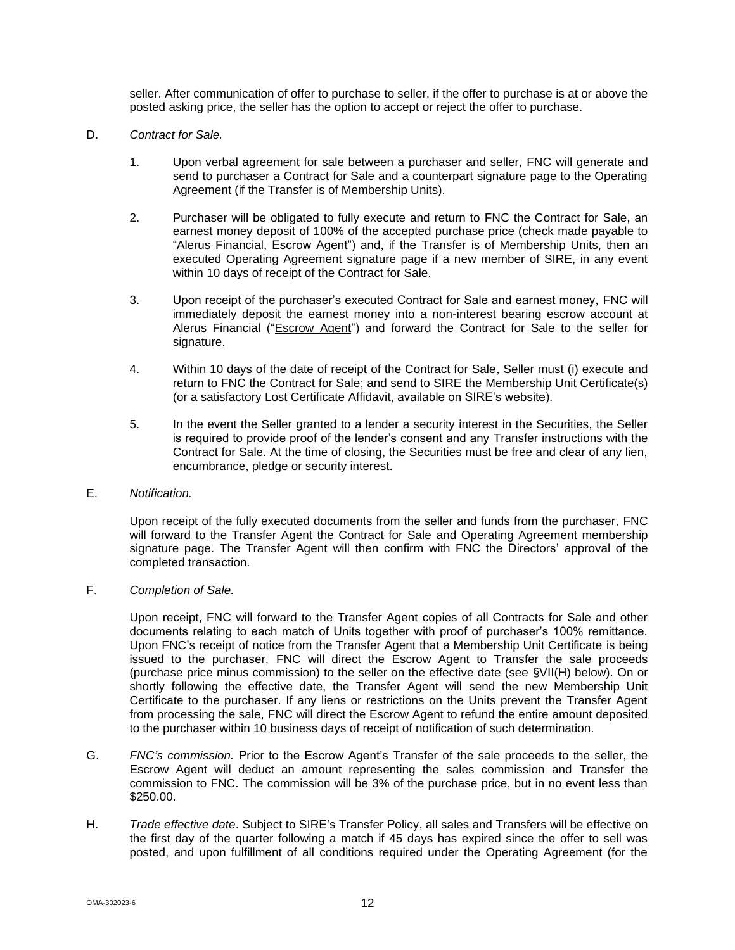seller. After communication of offer to purchase to seller, if the offer to purchase is at or above the posted asking price, the seller has the option to accept or reject the offer to purchase.

- D. *Contract for Sale.*
	- 1. Upon verbal agreement for sale between a purchaser and seller, FNC will generate and send to purchaser a Contract for Sale and a counterpart signature page to the Operating Agreement (if the Transfer is of Membership Units).
	- 2. Purchaser will be obligated to fully execute and return to FNC the Contract for Sale, an earnest money deposit of 100% of the accepted purchase price (check made payable to "Alerus Financial, Escrow Agent") and, if the Transfer is of Membership Units, then an executed Operating Agreement signature page if a new member of SIRE, in any event within 10 days of receipt of the Contract for Sale.
	- 3. Upon receipt of the purchaser's executed Contract for Sale and earnest money, FNC will immediately deposit the earnest money into a non-interest bearing escrow account at Alerus Financial ("Escrow Agent") and forward the Contract for Sale to the seller for signature.
	- 4. Within 10 days of the date of receipt of the Contract for Sale, Seller must (i) execute and return to FNC the Contract for Sale; and send to SIRE the Membership Unit Certificate(s) (or a satisfactory Lost Certificate Affidavit, available on SIRE's website).
	- 5. In the event the Seller granted to a lender a security interest in the Securities, the Seller is required to provide proof of the lender's consent and any Transfer instructions with the Contract for Sale. At the time of closing, the Securities must be free and clear of any lien, encumbrance, pledge or security interest.
- E. *Notification.*

Upon receipt of the fully executed documents from the seller and funds from the purchaser, FNC will forward to the Transfer Agent the Contract for Sale and Operating Agreement membership signature page. The Transfer Agent will then confirm with FNC the Directors' approval of the completed transaction.

## F. *Completion of Sale.*

Upon receipt, FNC will forward to the Transfer Agent copies of all Contracts for Sale and other documents relating to each match of Units together with proof of purchaser's 100% remittance. Upon FNC's receipt of notice from the Transfer Agent that a Membership Unit Certificate is being issued to the purchaser, FNC will direct the Escrow Agent to Transfer the sale proceeds (purchase price minus commission) to the seller on the effective date (see §VII(H) below). On or shortly following the effective date, the Transfer Agent will send the new Membership Unit Certificate to the purchaser. If any liens or restrictions on the Units prevent the Transfer Agent from processing the sale, FNC will direct the Escrow Agent to refund the entire amount deposited to the purchaser within 10 business days of receipt of notification of such determination.

- G. *FNC's commission.* Prior to the Escrow Agent's Transfer of the sale proceeds to the seller, the Escrow Agent will deduct an amount representing the sales commission and Transfer the commission to FNC. The commission will be 3% of the purchase price, but in no event less than \$250.00.
- H. *Trade effective date*. Subject to SIRE's Transfer Policy, all sales and Transfers will be effective on the first day of the quarter following a match if 45 days has expired since the offer to sell was posted, and upon fulfillment of all conditions required under the Operating Agreement (for the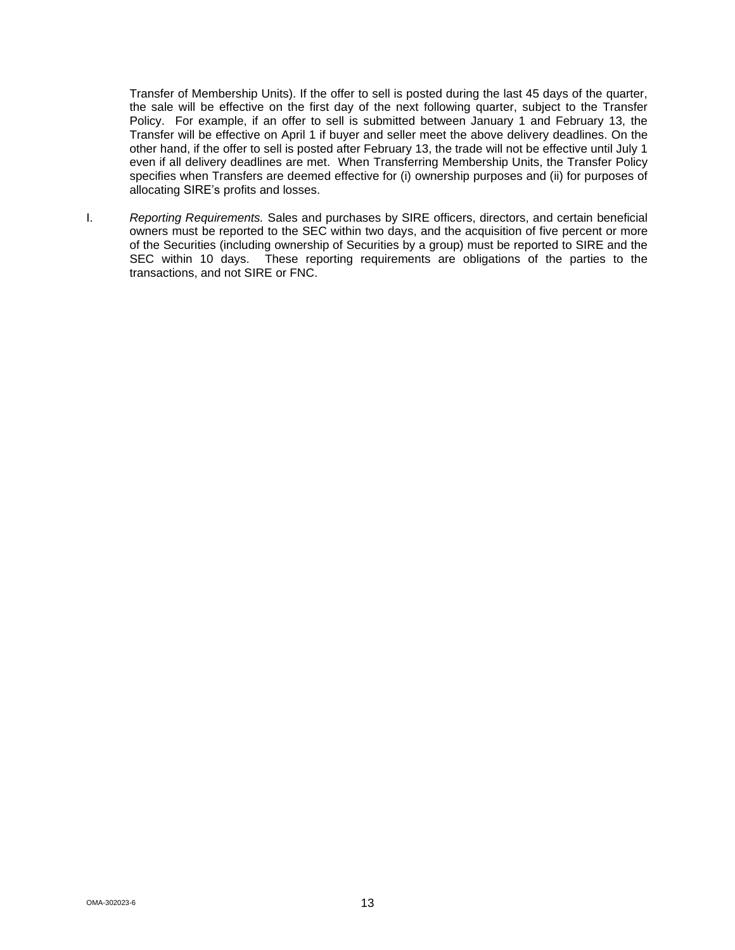Transfer of Membership Units). If the offer to sell is posted during the last 45 days of the quarter, the sale will be effective on the first day of the next following quarter, subject to the Transfer Policy. For example, if an offer to sell is submitted between January 1 and February 13, the Transfer will be effective on April 1 if buyer and seller meet the above delivery deadlines. On the other hand, if the offer to sell is posted after February 13, the trade will not be effective until July 1 even if all delivery deadlines are met. When Transferring Membership Units, the Transfer Policy specifies when Transfers are deemed effective for (i) ownership purposes and (ii) for purposes of allocating SIRE's profits and losses.

I. *Reporting Requirements.* Sales and purchases by SIRE officers, directors, and certain beneficial owners must be reported to the SEC within two days, and the acquisition of five percent or more of the Securities (including ownership of Securities by a group) must be reported to SIRE and the SEC within 10 days. These reporting requirements are obligations of the parties to the transactions, and not SIRE or FNC.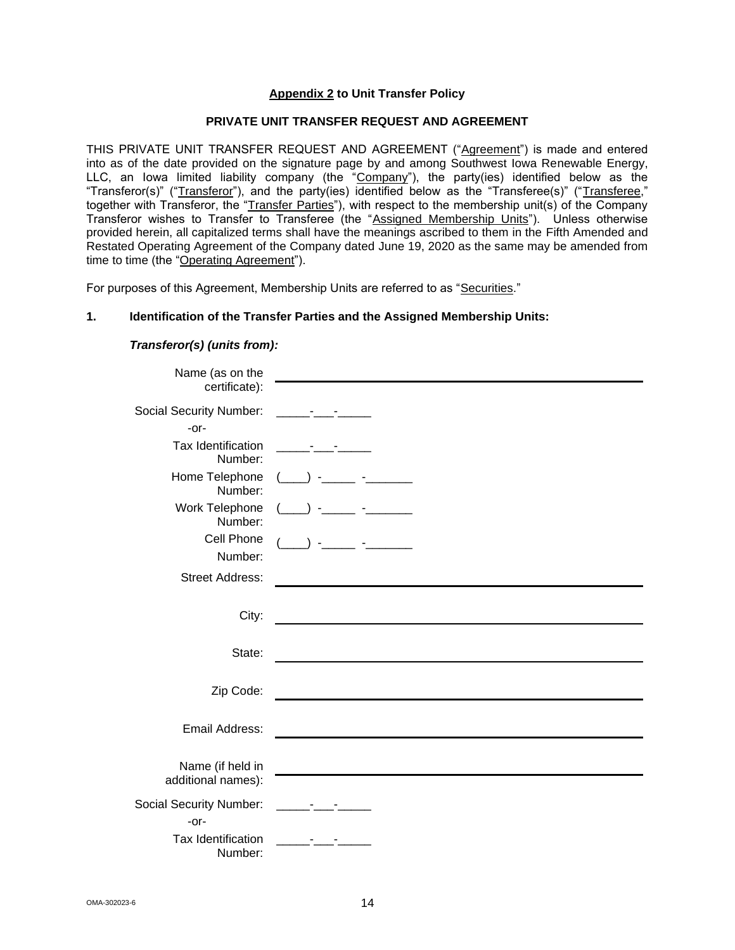## **Appendix 2 to Unit Transfer Policy**

## **PRIVATE UNIT TRANSFER REQUEST AND AGREEMENT**

THIS PRIVATE UNIT TRANSFER REQUEST AND AGREEMENT ("Agreement") is made and entered into as of the date provided on the signature page by and among Southwest Iowa Renewable Energy, LLC, an lowa limited liability company (the "Company"), the party(ies) identified below as the "Transferor(s)" ("Transferor"), and the party(ies) identified below as the "Transferee(s)" ("Transferee," together with Transferor, the "Transfer Parties"), with respect to the membership unit(s) of the Company Transferor wishes to Transfer to Transferee (the "Assigned Membership Units"). Unless otherwise provided herein, all capitalized terms shall have the meanings ascribed to them in the Fifth Amended and Restated Operating Agreement of the Company dated June 19, 2020 as the same may be amended from time to time (the "Operating Agreement").

For purposes of this Agreement, Membership Units are referred to as "Securities."

#### **1. Identification of the Transfer Parties and the Assigned Membership Units:**

## *Transferor(s) (units from):*

| Name (as on the                |                                                                                                                         |
|--------------------------------|-------------------------------------------------------------------------------------------------------------------------|
| certificate):                  |                                                                                                                         |
| <b>Social Security Number:</b> | <u> 1999 - Paris Albert III, presentant albert in 1990 - albert in 1990 - albert in 1990 - albert in 1990 - albert </u> |
| $-0r-$                         |                                                                                                                         |
| Tax Identification<br>Number:  |                                                                                                                         |
| Home Telephone<br>Number:      |                                                                                                                         |
| Work Telephone<br>Number:      |                                                                                                                         |
| Cell Phone                     |                                                                                                                         |
| Number:                        |                                                                                                                         |
| <b>Street Address:</b>         |                                                                                                                         |
|                                |                                                                                                                         |
| City:                          |                                                                                                                         |
|                                |                                                                                                                         |
| State:                         |                                                                                                                         |
|                                |                                                                                                                         |
| Zip Code:                      |                                                                                                                         |
| Email Address:                 |                                                                                                                         |
|                                |                                                                                                                         |
| Name (if held in               |                                                                                                                         |
| additional names):             |                                                                                                                         |
| <b>Social Security Number:</b> | $\bullet$ , $\bullet$ , $\bullet$ , $\bullet$ , $\bullet$ , $\bullet$                                                   |
| $-0r-$                         |                                                                                                                         |
| Tax Identification<br>Number:  |                                                                                                                         |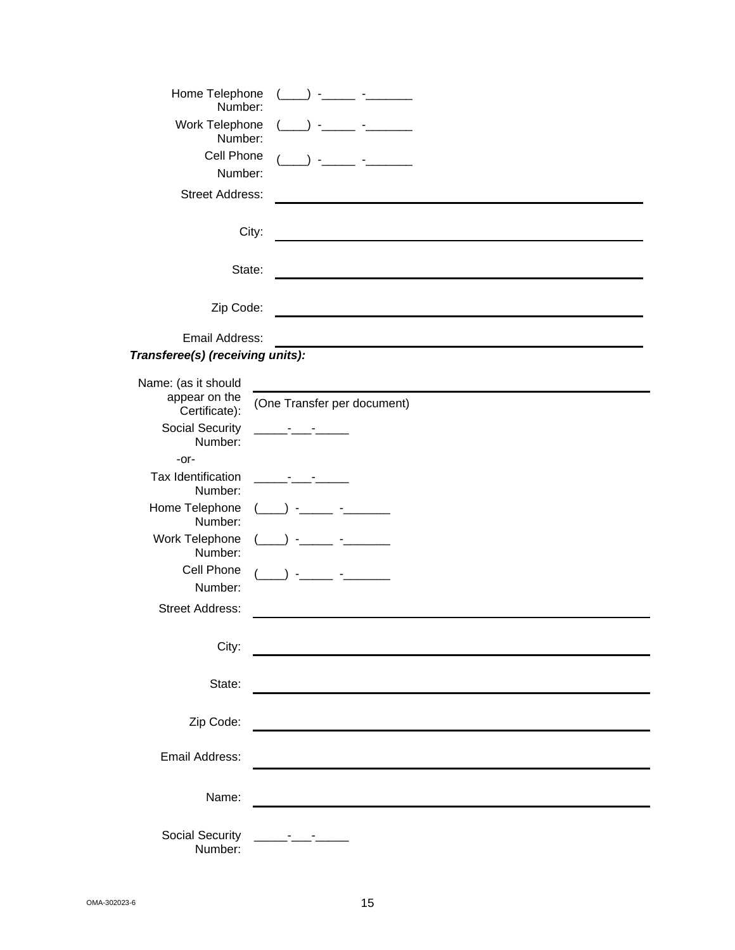| Home Telephone<br>Number:                             |                             |
|-------------------------------------------------------|-----------------------------|
| Work Telephone<br>Number:                             |                             |
| Cell Phone                                            |                             |
| Number:                                               |                             |
| <b>Street Address:</b>                                |                             |
|                                                       | City:                       |
| State:                                                |                             |
| Zip Code:                                             |                             |
| Email Address:                                        |                             |
| Transferee(s) (receiving units):                      |                             |
| Name: (as it should<br>appear on the<br>Certificate): | (One Transfer per document) |
| <b>Social Security</b><br>Number:                     |                             |
| $-0r-$                                                |                             |
| Tax Identification<br>Number:                         |                             |
| Home Telephone<br>Number:                             |                             |
| Work Telephone<br>Number:                             |                             |
| Cell Phone                                            |                             |
| Number:                                               |                             |
| <b>Street Address:</b>                                |                             |
| City:                                                 |                             |
| State:                                                |                             |
|                                                       |                             |
| Zip Code:                                             |                             |
| Email Address:                                        |                             |
| Name:                                                 |                             |
| Social Security<br>Number:                            |                             |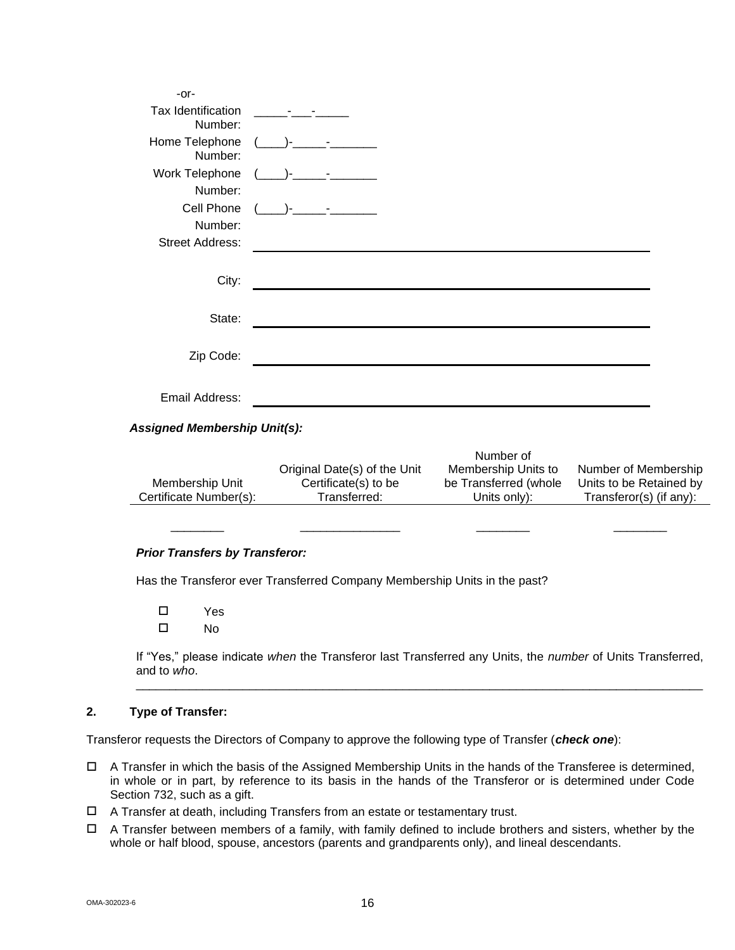| -or-                          |                                                                                                                                                                                                                                      |  |
|-------------------------------|--------------------------------------------------------------------------------------------------------------------------------------------------------------------------------------------------------------------------------------|--|
| Tax Identification<br>Number: | <u> 1999 - Andrea Station Books and the Station Books and the Station Books and the Station Books and the Station Books and the Station Books and the Station Books and the Station Books and the Station Books and the Station </u> |  |
| Home Telephone<br>Number:     | $($ )-<br><u> 1999 - John Stone</u>                                                                                                                                                                                                  |  |
| Work Telephone<br>Number:     | and the state of the state<br>$-$                                                                                                                                                                                                    |  |
| Cell Phone<br>Number:         | and the company of                                                                                                                                                                                                                   |  |
| <b>Street Address:</b>        |                                                                                                                                                                                                                                      |  |
| City:                         |                                                                                                                                                                                                                                      |  |
| State:                        |                                                                                                                                                                                                                                      |  |
| Zip Code:                     |                                                                                                                                                                                                                                      |  |
| Email Address:                |                                                                                                                                                                                                                                      |  |

## *Assigned Membership Unit(s):*

|                        |                              | Number of             |                         |
|------------------------|------------------------------|-----------------------|-------------------------|
|                        | Original Date(s) of the Unit | Membership Units to   | Number of Membership    |
| Membership Unit        | Certificate(s) to be         | be Transferred (whole | Units to be Retained by |
| Certificate Number(s): | Transferred:                 | Units only):          | Transferor(s) (if any): |

\_\_\_\_\_\_\_\_ \_\_\_\_\_\_\_\_\_\_\_\_\_\_\_ \_\_\_\_\_\_\_\_ \_\_\_\_\_\_\_\_

#### *Prior Transfers by Transferor:*

Has the Transferor ever Transferred Company Membership Units in the past?

 Yes  $\square$  No

If "Yes," please indicate *when* the Transferor last Transferred any Units, the *number* of Units Transferred, and to *who*. \_\_\_\_\_\_\_\_\_\_\_\_\_\_\_\_\_\_\_\_\_\_\_\_\_\_\_\_\_\_\_\_\_\_\_\_\_\_\_\_\_\_\_\_\_\_\_\_\_\_\_\_\_\_\_\_\_\_\_\_\_\_\_\_\_\_\_\_\_\_\_\_\_\_\_\_\_\_\_\_\_\_\_\_\_

## **2. Type of Transfer:**

Transferor requests the Directors of Company to approve the following type of Transfer (*check one*):

- $\Box$  A Transfer in which the basis of the Assigned Membership Units in the hands of the Transferee is determined, in whole or in part, by reference to its basis in the hands of the Transferor or is determined under Code Section 732, such as a gift.
- A Transfer at death, including Transfers from an estate or testamentary trust.
- $\Box$  A Transfer between members of a family, with family defined to include brothers and sisters, whether by the whole or half blood, spouse, ancestors (parents and grandparents only), and lineal descendants.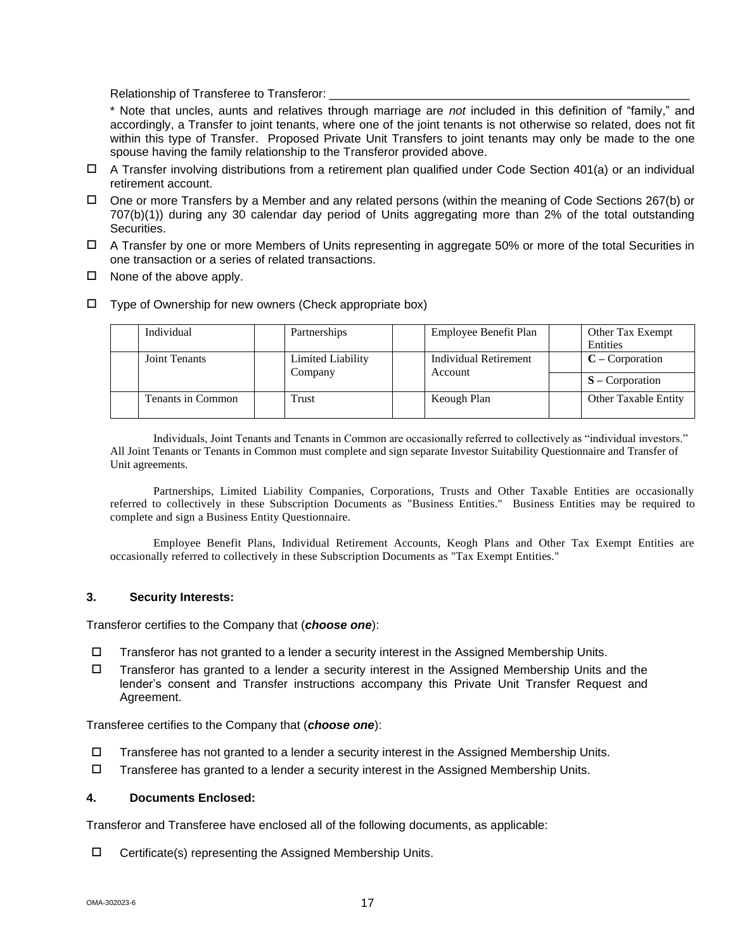Relationship of Transferee to Transferor: \_

\* Note that uncles, aunts and relatives through marriage are *not* included in this definition of "family," and accordingly, a Transfer to joint tenants, where one of the joint tenants is not otherwise so related, does not fit within this type of Transfer. Proposed Private Unit Transfers to joint tenants may only be made to the one spouse having the family relationship to the Transferor provided above.

- $\Box$  A Transfer involving distributions from a retirement plan qualified under Code Section 401(a) or an individual retirement account.
- $\Box$  One or more Transfers by a Member and any related persons (within the meaning of Code Sections 267(b) or 707(b)(1)) during any 30 calendar day period of Units aggregating more than 2% of the total outstanding Securities.
- A Transfer by one or more Members of Units representing in aggregate 50% or more of the total Securities in one transaction or a series of related transactions.
- $\square$  None of the above apply.
- Type of Ownership for new owners (Check appropriate box)

| Individual        | Partnerships                 | Employee Benefit Plan            | Other Tax Exempt<br>Entities |
|-------------------|------------------------------|----------------------------------|------------------------------|
| Joint Tenants     | Limited Liability<br>Company | Individual Retirement<br>Account | $C$ – Corporation            |
|                   |                              |                                  | $S$ – Corporation            |
| Tenants in Common | Trust                        | Keough Plan                      | <b>Other Taxable Entity</b>  |

Individuals, Joint Tenants and Tenants in Common are occasionally referred to collectively as "individual investors." All Joint Tenants or Tenants in Common must complete and sign separate Investor Suitability Questionnaire and Transfer of Unit agreements.

Partnerships, Limited Liability Companies, Corporations, Trusts and Other Taxable Entities are occasionally referred to collectively in these Subscription Documents as "Business Entities." Business Entities may be required to complete and sign a Business Entity Questionnaire.

Employee Benefit Plans, Individual Retirement Accounts, Keogh Plans and Other Tax Exempt Entities are occasionally referred to collectively in these Subscription Documents as "Tax Exempt Entities."

#### **3. Security Interests:**

Transferor certifies to the Company that (*choose one*):

- $\square$  Transferor has not granted to a lender a security interest in the Assigned Membership Units.
- $\Box$  Transferor has granted to a lender a security interest in the Assigned Membership Units and the lender's consent and Transfer instructions accompany this Private Unit Transfer Request and Agreement.

Transferee certifies to the Company that (*choose one*):

- $\Box$  Transferee has not granted to a lender a security interest in the Assigned Membership Units.
- $\Box$  Transferee has granted to a lender a security interest in the Assigned Membership Units.

#### **4. Documents Enclosed:**

Transferor and Transferee have enclosed all of the following documents, as applicable:

 $\Box$  Certificate(s) representing the Assigned Membership Units.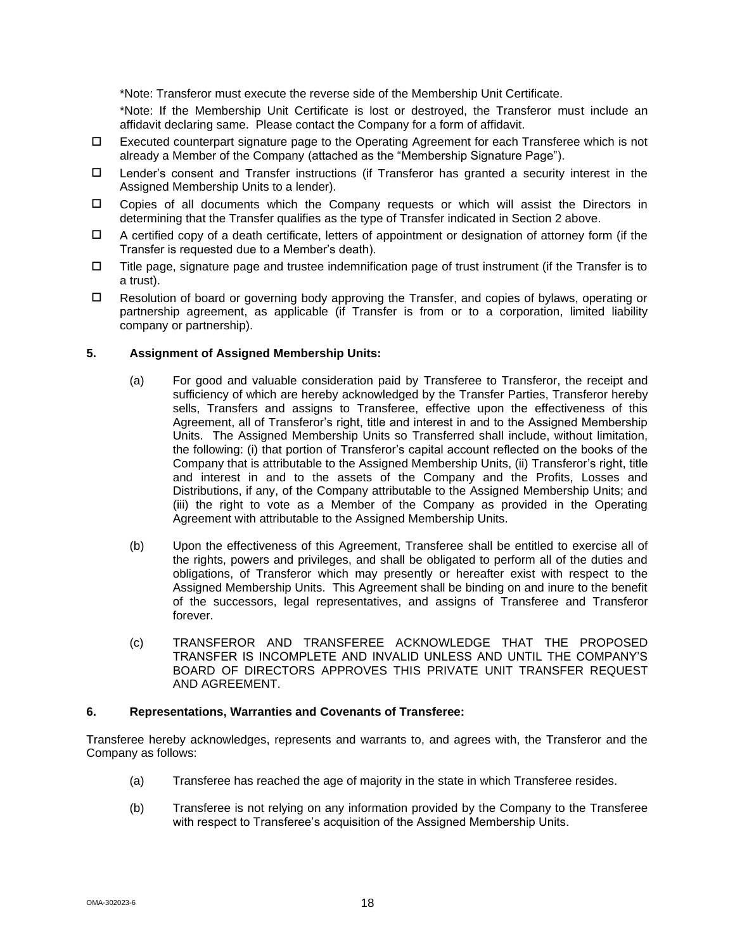\*Note: Transferor must execute the reverse side of the Membership Unit Certificate.

\*Note: If the Membership Unit Certificate is lost or destroyed, the Transferor must include an affidavit declaring same. Please contact the Company for a form of affidavit.

- Executed counterpart signature page to the Operating Agreement for each Transferee which is not already a Member of the Company (attached as the "Membership Signature Page").
- Lender's consent and Transfer instructions (if Transferor has granted a security interest in the Assigned Membership Units to a lender).
- Copies of all documents which the Company requests or which will assist the Directors in determining that the Transfer qualifies as the type of Transfer indicated in Section 2 above.
- $\Box$  A certified copy of a death certificate, letters of appointment or designation of attorney form (if the Transfer is requested due to a Member's death).
- $\Box$  Title page, signature page and trustee indemnification page of trust instrument (if the Transfer is to a trust).
- $\Box$  Resolution of board or governing body approving the Transfer, and copies of bylaws, operating or partnership agreement, as applicable (if Transfer is from or to a corporation, limited liability company or partnership).

## **5. Assignment of Assigned Membership Units:**

- (a) For good and valuable consideration paid by Transferee to Transferor, the receipt and sufficiency of which are hereby acknowledged by the Transfer Parties, Transferor hereby sells, Transfers and assigns to Transferee, effective upon the effectiveness of this Agreement, all of Transferor's right, title and interest in and to the Assigned Membership Units. The Assigned Membership Units so Transferred shall include, without limitation, the following: (i) that portion of Transferor's capital account reflected on the books of the Company that is attributable to the Assigned Membership Units, (ii) Transferor's right, title and interest in and to the assets of the Company and the Profits, Losses and Distributions, if any, of the Company attributable to the Assigned Membership Units; and (iii) the right to vote as a Member of the Company as provided in the Operating Agreement with attributable to the Assigned Membership Units.
- (b) Upon the effectiveness of this Agreement, Transferee shall be entitled to exercise all of the rights, powers and privileges, and shall be obligated to perform all of the duties and obligations, of Transferor which may presently or hereafter exist with respect to the Assigned Membership Units. This Agreement shall be binding on and inure to the benefit of the successors, legal representatives, and assigns of Transferee and Transferor forever.
- (c) TRANSFEROR AND TRANSFEREE ACKNOWLEDGE THAT THE PROPOSED TRANSFER IS INCOMPLETE AND INVALID UNLESS AND UNTIL THE COMPANY'S BOARD OF DIRECTORS APPROVES THIS PRIVATE UNIT TRANSFER REQUEST AND AGREEMENT.

#### **6. Representations, Warranties and Covenants of Transferee:**

Transferee hereby acknowledges, represents and warrants to, and agrees with, the Transferor and the Company as follows:

- (a) Transferee has reached the age of majority in the state in which Transferee resides.
- (b) Transferee is not relying on any information provided by the Company to the Transferee with respect to Transferee's acquisition of the Assigned Membership Units.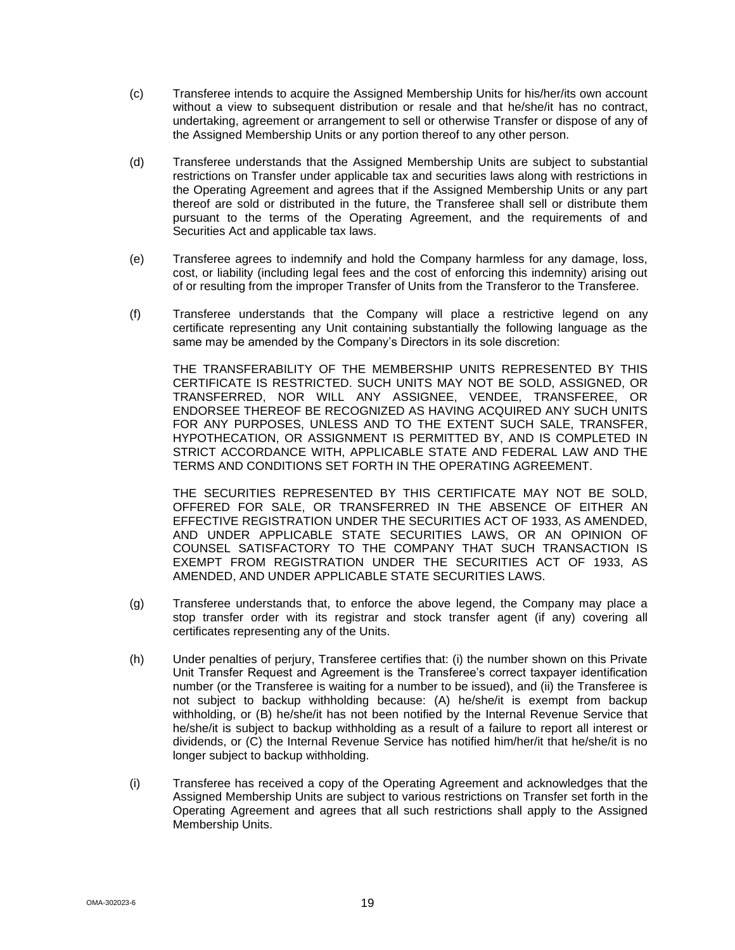- (c) Transferee intends to acquire the Assigned Membership Units for his/her/its own account without a view to subsequent distribution or resale and that he/she/it has no contract, undertaking, agreement or arrangement to sell or otherwise Transfer or dispose of any of the Assigned Membership Units or any portion thereof to any other person.
- (d) Transferee understands that the Assigned Membership Units are subject to substantial restrictions on Transfer under applicable tax and securities laws along with restrictions in the Operating Agreement and agrees that if the Assigned Membership Units or any part thereof are sold or distributed in the future, the Transferee shall sell or distribute them pursuant to the terms of the Operating Agreement, and the requirements of and Securities Act and applicable tax laws.
- (e) Transferee agrees to indemnify and hold the Company harmless for any damage, loss, cost, or liability (including legal fees and the cost of enforcing this indemnity) arising out of or resulting from the improper Transfer of Units from the Transferor to the Transferee.
- (f) Transferee understands that the Company will place a restrictive legend on any certificate representing any Unit containing substantially the following language as the same may be amended by the Company's Directors in its sole discretion:

THE TRANSFERABILITY OF THE MEMBERSHIP UNITS REPRESENTED BY THIS CERTIFICATE IS RESTRICTED. SUCH UNITS MAY NOT BE SOLD, ASSIGNED, OR TRANSFERRED, NOR WILL ANY ASSIGNEE, VENDEE, TRANSFEREE, OR ENDORSEE THEREOF BE RECOGNIZED AS HAVING ACQUIRED ANY SUCH UNITS FOR ANY PURPOSES, UNLESS AND TO THE EXTENT SUCH SALE, TRANSFER, HYPOTHECATION, OR ASSIGNMENT IS PERMITTED BY, AND IS COMPLETED IN STRICT ACCORDANCE WITH, APPLICABLE STATE AND FEDERAL LAW AND THE TERMS AND CONDITIONS SET FORTH IN THE OPERATING AGREEMENT.

THE SECURITIES REPRESENTED BY THIS CERTIFICATE MAY NOT BE SOLD, OFFERED FOR SALE, OR TRANSFERRED IN THE ABSENCE OF EITHER AN EFFECTIVE REGISTRATION UNDER THE SECURITIES ACT OF 1933, AS AMENDED, AND UNDER APPLICABLE STATE SECURITIES LAWS, OR AN OPINION OF COUNSEL SATISFACTORY TO THE COMPANY THAT SUCH TRANSACTION IS EXEMPT FROM REGISTRATION UNDER THE SECURITIES ACT OF 1933, AS AMENDED, AND UNDER APPLICABLE STATE SECURITIES LAWS.

- (g) Transferee understands that, to enforce the above legend, the Company may place a stop transfer order with its registrar and stock transfer agent (if any) covering all certificates representing any of the Units.
- (h) Under penalties of perjury, Transferee certifies that: (i) the number shown on this Private Unit Transfer Request and Agreement is the Transferee's correct taxpayer identification number (or the Transferee is waiting for a number to be issued), and (ii) the Transferee is not subject to backup withholding because: (A) he/she/it is exempt from backup withholding, or (B) he/she/it has not been notified by the Internal Revenue Service that he/she/it is subject to backup withholding as a result of a failure to report all interest or dividends, or (C) the Internal Revenue Service has notified him/her/it that he/she/it is no longer subject to backup withholding.
- (i) Transferee has received a copy of the Operating Agreement and acknowledges that the Assigned Membership Units are subject to various restrictions on Transfer set forth in the Operating Agreement and agrees that all such restrictions shall apply to the Assigned Membership Units.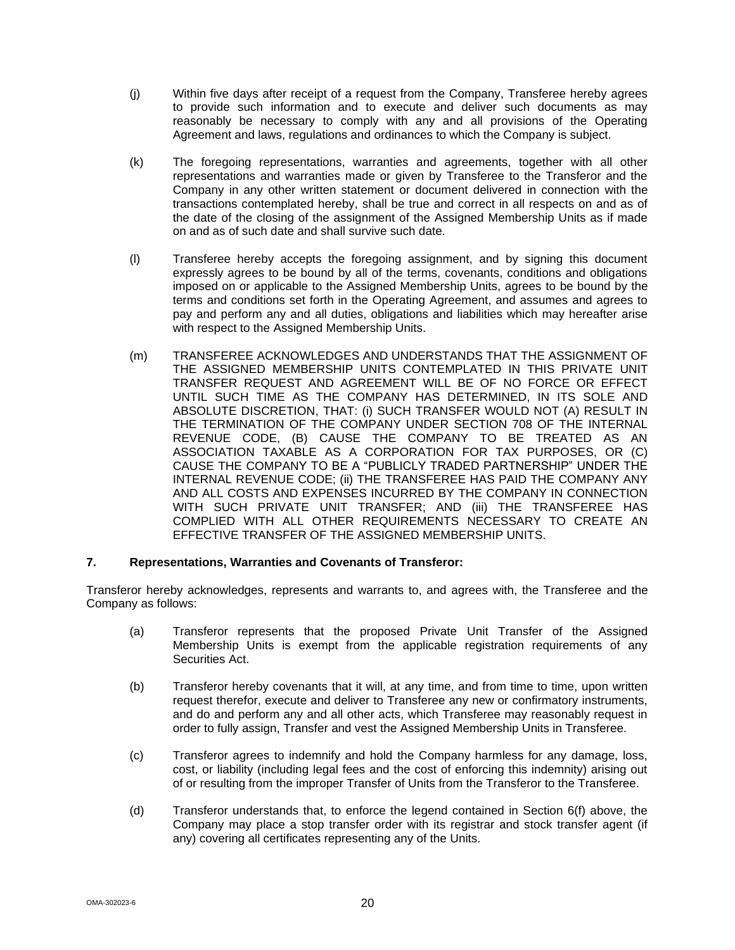- (j) Within five days after receipt of a request from the Company, Transferee hereby agrees to provide such information and to execute and deliver such documents as may reasonably be necessary to comply with any and all provisions of the Operating Agreement and laws, regulations and ordinances to which the Company is subject.
- (k) The foregoing representations, warranties and agreements, together with all other representations and warranties made or given by Transferee to the Transferor and the Company in any other written statement or document delivered in connection with the transactions contemplated hereby, shall be true and correct in all respects on and as of the date of the closing of the assignment of the Assigned Membership Units as if made on and as of such date and shall survive such date.
- (l) Transferee hereby accepts the foregoing assignment, and by signing this document expressly agrees to be bound by all of the terms, covenants, conditions and obligations imposed on or applicable to the Assigned Membership Units, agrees to be bound by the terms and conditions set forth in the Operating Agreement, and assumes and agrees to pay and perform any and all duties, obligations and liabilities which may hereafter arise with respect to the Assigned Membership Units.
- (m) TRANSFEREE ACKNOWLEDGES AND UNDERSTANDS THAT THE ASSIGNMENT OF THE ASSIGNED MEMBERSHIP UNITS CONTEMPLATED IN THIS PRIVATE UNIT TRANSFER REQUEST AND AGREEMENT WILL BE OF NO FORCE OR EFFECT UNTIL SUCH TIME AS THE COMPANY HAS DETERMINED, IN ITS SOLE AND ABSOLUTE DISCRETION, THAT: (i) SUCH TRANSFER WOULD NOT (A) RESULT IN THE TERMINATION OF THE COMPANY UNDER SECTION 708 OF THE INTERNAL REVENUE CODE, (B) CAUSE THE COMPANY TO BE TREATED AS AN ASSOCIATION TAXABLE AS A CORPORATION FOR TAX PURPOSES, OR (C) CAUSE THE COMPANY TO BE A "PUBLICLY TRADED PARTNERSHIP" UNDER THE INTERNAL REVENUE CODE; (ii) THE TRANSFEREE HAS PAID THE COMPANY ANY AND ALL COSTS AND EXPENSES INCURRED BY THE COMPANY IN CONNECTION WITH SUCH PRIVATE UNIT TRANSFER; AND (iii) THE TRANSFEREE HAS COMPLIED WITH ALL OTHER REQUIREMENTS NECESSARY TO CREATE AN EFFECTIVE TRANSFER OF THE ASSIGNED MEMBERSHIP UNITS.

## **7. Representations, Warranties and Covenants of Transferor:**

Transferor hereby acknowledges, represents and warrants to, and agrees with, the Transferee and the Company as follows:

- (a) Transferor represents that the proposed Private Unit Transfer of the Assigned Membership Units is exempt from the applicable registration requirements of any Securities Act.
- (b) Transferor hereby covenants that it will, at any time, and from time to time, upon written request therefor, execute and deliver to Transferee any new or confirmatory instruments, and do and perform any and all other acts, which Transferee may reasonably request in order to fully assign, Transfer and vest the Assigned Membership Units in Transferee.
- (c) Transferor agrees to indemnify and hold the Company harmless for any damage, loss, cost, or liability (including legal fees and the cost of enforcing this indemnity) arising out of or resulting from the improper Transfer of Units from the Transferor to the Transferee.
- (d) Transferor understands that, to enforce the legend contained in Section 6(f) above, the Company may place a stop transfer order with its registrar and stock transfer agent (if any) covering all certificates representing any of the Units.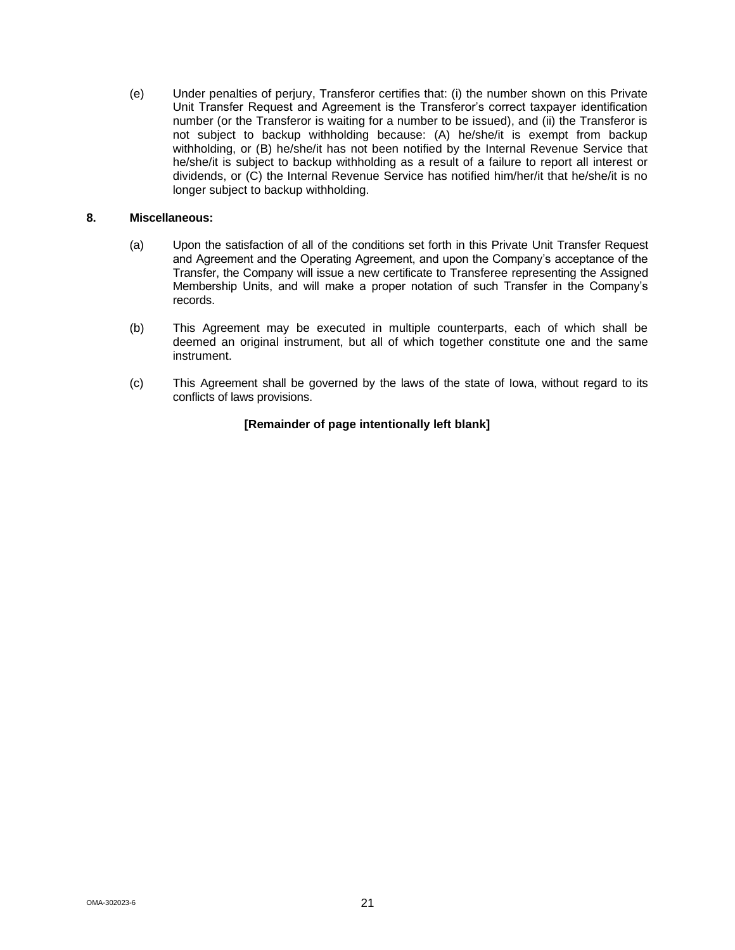(e) Under penalties of perjury, Transferor certifies that: (i) the number shown on this Private Unit Transfer Request and Agreement is the Transferor's correct taxpayer identification number (or the Transferor is waiting for a number to be issued), and (ii) the Transferor is not subject to backup withholding because: (A) he/she/it is exempt from backup withholding, or (B) he/she/it has not been notified by the Internal Revenue Service that he/she/it is subject to backup withholding as a result of a failure to report all interest or dividends, or (C) the Internal Revenue Service has notified him/her/it that he/she/it is no longer subject to backup withholding.

## **8. Miscellaneous:**

- (a) Upon the satisfaction of all of the conditions set forth in this Private Unit Transfer Request and Agreement and the Operating Agreement, and upon the Company's acceptance of the Transfer, the Company will issue a new certificate to Transferee representing the Assigned Membership Units, and will make a proper notation of such Transfer in the Company's records.
- (b) This Agreement may be executed in multiple counterparts, each of which shall be deemed an original instrument, but all of which together constitute one and the same instrument.
- (c) This Agreement shall be governed by the laws of the state of Iowa, without regard to its conflicts of laws provisions.

## **[Remainder of page intentionally left blank]**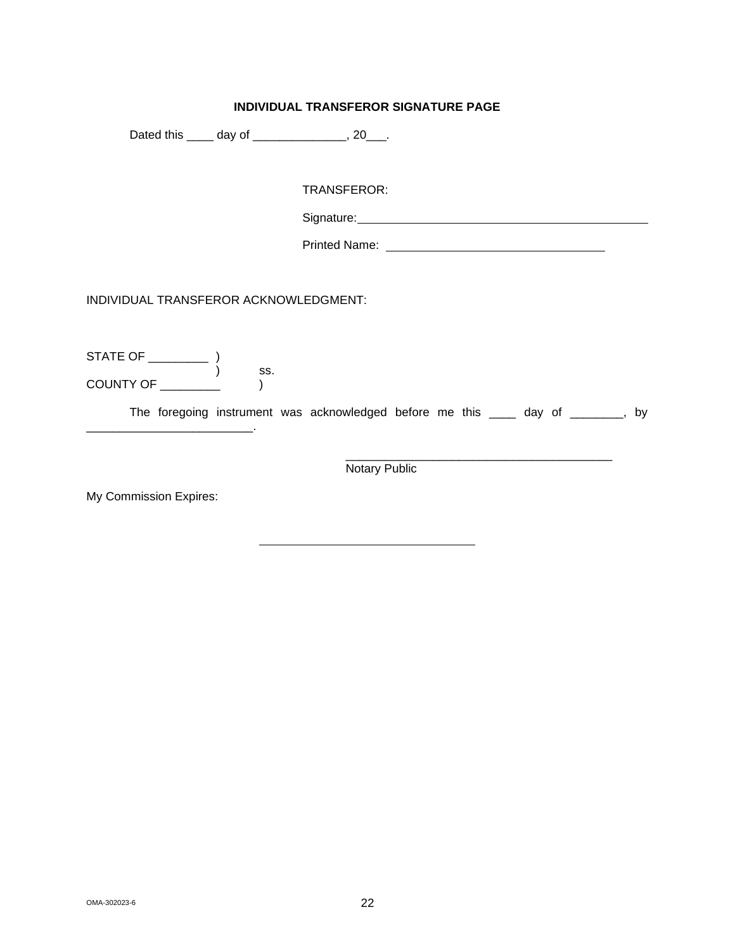## **INDIVIDUAL TRANSFEROR SIGNATURE PAGE**

Dated this \_\_\_\_ day of \_\_\_\_\_\_\_\_\_\_\_, 20\_\_\_.

TRANSFEROR:

Signature: Management Control of the Signature:

Printed Name: University of Printed Name:

INDIVIDUAL TRANSFEROR ACKNOWLEDGMENT:

STATE OF \_\_\_\_\_\_\_\_\_ ) ) ss. COUNTY OF \_\_\_\_\_\_\_\_\_ )

\_\_\_\_\_\_\_\_\_\_\_\_\_\_\_\_\_\_\_\_\_\_\_\_\_.

The foregoing instrument was acknowledged before me this \_\_\_\_ day of \_\_\_\_\_\_\_, by

\_\_\_\_\_\_\_\_\_\_\_\_\_\_\_\_\_\_\_\_\_\_\_\_\_\_\_\_\_\_\_\_\_\_\_\_\_\_\_\_ Notary Public

My Commission Expires: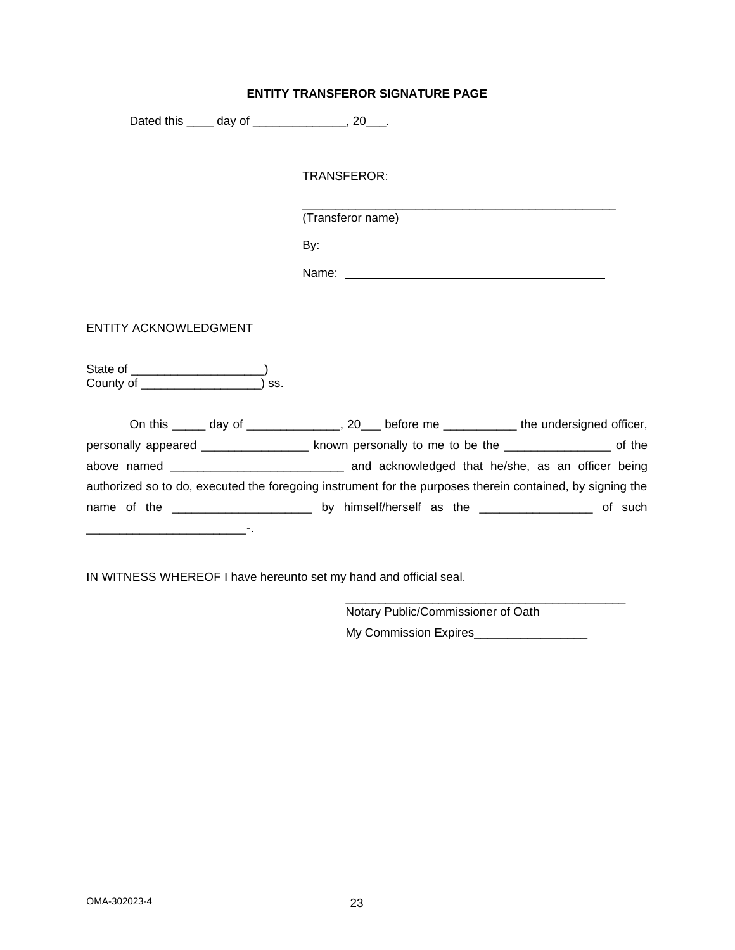## **ENTITY TRANSFEROR SIGNATURE PAGE**

Dated this \_\_\_\_\_ day of \_\_\_\_\_\_\_\_\_\_\_\_\_\_, 20\_\_\_.

TRANSFEROR:

(Transferor name)

By:

Name:

\_\_\_\_\_\_\_\_\_\_\_\_\_\_\_\_\_\_\_\_\_\_\_\_\_\_\_\_\_\_\_\_\_\_\_\_\_\_\_\_\_\_\_\_\_\_\_

ENTITY ACKNOWLEDGMENT

State of \_\_\_\_\_\_\_\_\_\_\_\_\_\_\_\_\_\_\_\_) County of \_\_\_\_\_\_\_\_\_\_\_\_\_\_\_\_\_\_) ss.

| On this ______ day of ________________, 20___ before me ____________ the undersigned officer,             |  |  |                                                              |         |
|-----------------------------------------------------------------------------------------------------------|--|--|--------------------------------------------------------------|---------|
| personally appeared _________________                                                                     |  |  | known personally to me to be the ____________________ of the |         |
|                                                                                                           |  |  | and acknowledged that he/she, as an officer being            |         |
| authorized so to do, executed the foregoing instrument for the purposes therein contained, by signing the |  |  |                                                              |         |
|                                                                                                           |  |  |                                                              | of such |
|                                                                                                           |  |  |                                                              |         |

IN WITNESS WHEREOF I have hereunto set my hand and official seal.

Notary Public/Commissioner of Oath My Commission Expires\_\_\_\_\_\_\_\_\_\_\_\_\_\_\_\_\_

\_\_\_\_\_\_\_\_\_\_\_\_\_\_\_\_\_\_\_\_\_\_\_\_\_\_\_\_\_\_\_\_\_\_\_\_\_\_\_\_\_\_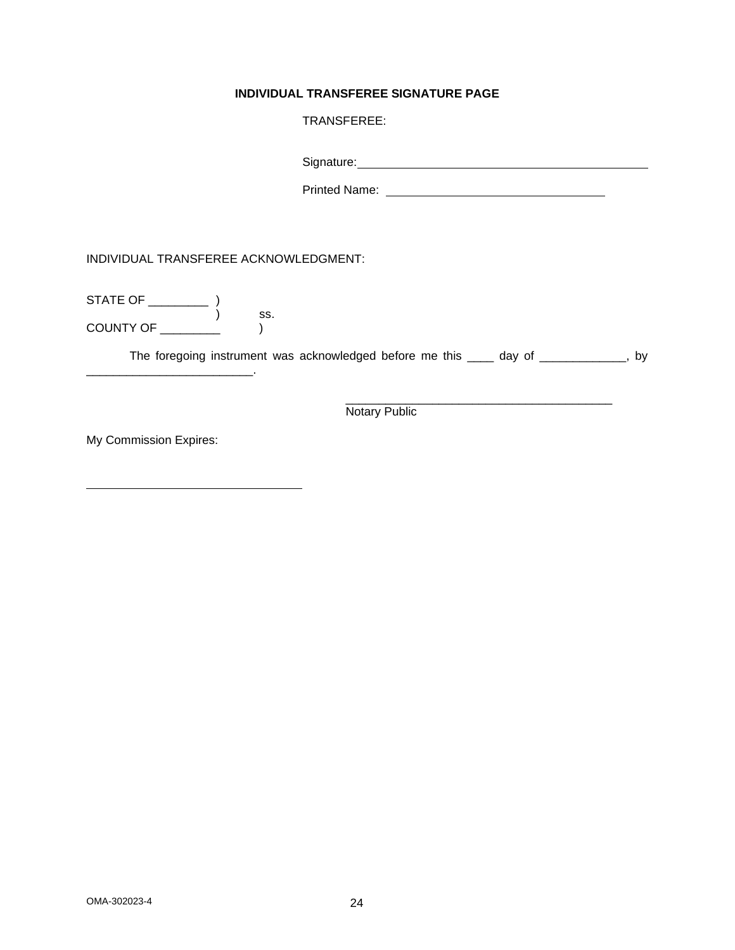## **INDIVIDUAL TRANSFEREE SIGNATURE PAGE**

## TRANSFEREE:

| Signature: |  |  |
|------------|--|--|
|            |  |  |

Printed Name:

INDIVIDUAL TRANSFEREE ACKNOWLEDGMENT:

 $\sim$ 

STATE OF \_\_\_\_\_\_\_\_\_ ) ) ss.  $COUNTY OF \begin{array}{c} \begin{array}{c} \text{C} \\ \text{C} \end{array} \end{array}$ 

The foregoing instrument was acknowledged before me this \_\_\_\_ day of \_\_\_\_\_\_\_\_\_\_\_, by

\_\_\_\_\_\_\_\_\_\_\_\_\_\_\_\_\_\_\_\_\_\_\_\_\_\_\_\_\_\_\_\_\_\_\_\_\_\_\_\_ Notary Public

My Commission Expires: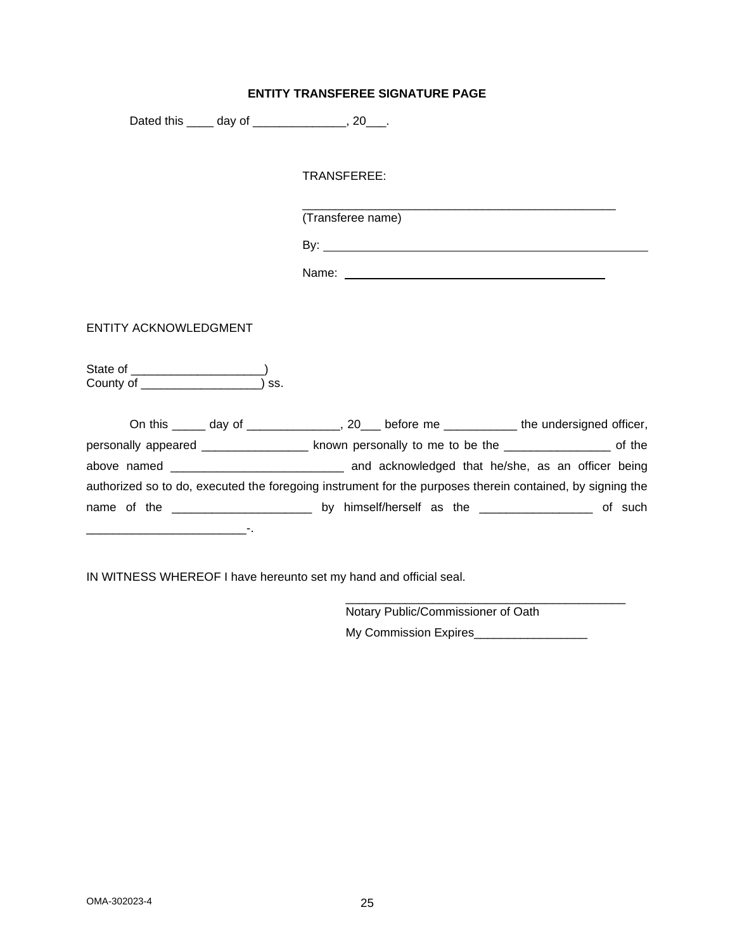## **ENTITY TRANSFEREE SIGNATURE PAGE**

Dated this \_\_\_\_\_ day of \_\_\_\_\_\_\_\_\_\_\_\_\_\_, 20\_\_\_.

TRANSFEREE:

(Transferee name)

By:

Name:

\_\_\_\_\_\_\_\_\_\_\_\_\_\_\_\_\_\_\_\_\_\_\_\_\_\_\_\_\_\_\_\_\_\_\_\_\_\_\_\_\_\_\_\_\_\_\_

ENTITY ACKNOWLEDGMENT

State of \_\_\_\_\_\_\_\_\_\_\_\_\_\_\_\_\_\_\_\_) County of \_\_\_\_\_\_\_\_\_\_\_\_\_\_\_\_\_\_) ss.

| On this ______ day of ________________, 20___ before me _____________ the undersigned officer,            |  |                                                                                                     |         |
|-----------------------------------------------------------------------------------------------------------|--|-----------------------------------------------------------------------------------------------------|---------|
| personally appeared _________________                                                                     |  | known personally to me to be the _____________________ of the                                       |         |
|                                                                                                           |  | and acknowledged that he/she, as an officer being                                                   |         |
| authorized so to do, executed the foregoing instrument for the purposes therein contained, by signing the |  |                                                                                                     |         |
|                                                                                                           |  | by himself/herself as the $\frac{1}{2}$ meropole in the $\frac{1}{2}$ meropole in the $\frac{1}{2}$ | of such |
|                                                                                                           |  |                                                                                                     |         |

IN WITNESS WHEREOF I have hereunto set my hand and official seal.

Notary Public/Commissioner of Oath My Commission Expires\_\_\_\_\_\_\_\_\_\_\_\_\_\_\_\_\_

\_\_\_\_\_\_\_\_\_\_\_\_\_\_\_\_\_\_\_\_\_\_\_\_\_\_\_\_\_\_\_\_\_\_\_\_\_\_\_\_\_\_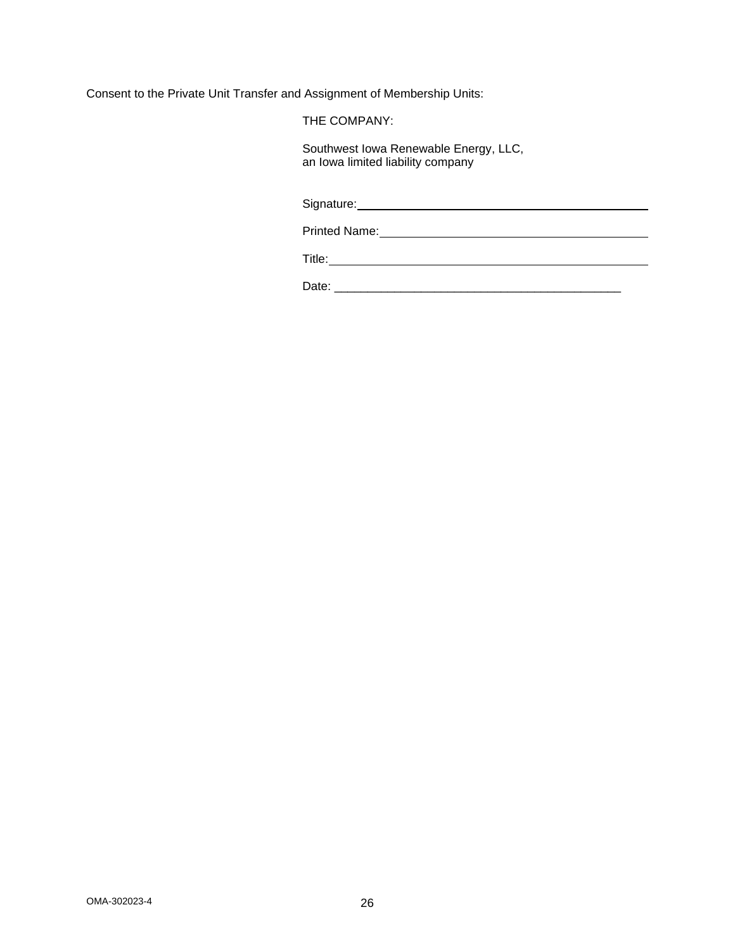Consent to the Private Unit Transfer and Assignment of Membership Units:

THE COMPANY:

Southwest Iowa Renewable Energy, LLC, an Iowa limited liability company

Signature: Management Contract Contract Contract Contract Contract Contract Contract Contract Contract Contract Contract Contract Contract Contract Contract Contract Contract Contract Contract Contract Contract Contract Co

Printed Name:

Title: <u>www.community.community.community.com</u>

Date: \_\_\_\_\_\_\_\_\_\_\_\_\_\_\_\_\_\_\_\_\_\_\_\_\_\_\_\_\_\_\_\_\_\_\_\_\_\_\_\_\_\_\_